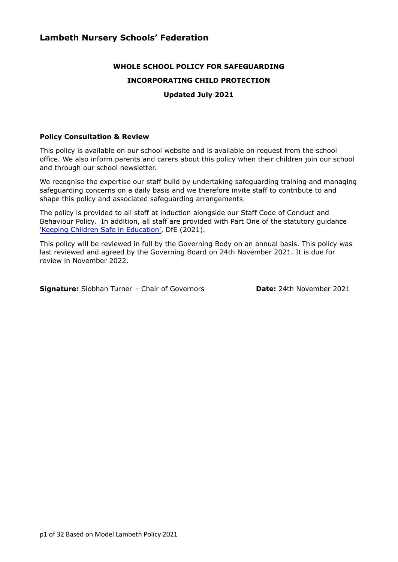# **WHOLE SCHOOL POLICY FOR SAFEGUARDING INCORPORATING CHILD PROTECTION Updated July 2021**

#### **Policy Consultation & Review**

This policy is available on our school website and is available on request from the school office. We also inform parents and carers about this policy when their children join our school and through our school newsletter.

We recognise the expertise our staff build by undertaking safeguarding training and managing safeguarding concerns on a daily basis and we therefore invite staff to contribute to and shape this policy and associated safeguarding arrangements.

The policy is provided to all staff at induction alongside our Staff Code of Conduct and Behaviour Policy. In addition, all staff are provided with Part One of the statutory guidance 'Keeping Children Safe in [Education'](https://www.gov.uk/government/publications/keeping-children-safe-in-education--2), DfE (2021).

This policy will be reviewed in full by the Governing Body on an annual basis. This policy was last reviewed and agreed by the Governing Board on 24th November 2021. It is due for review in November 2022.

**Signature:** Siobhan Turner - Chair of Governors **Date:** 24th November 2021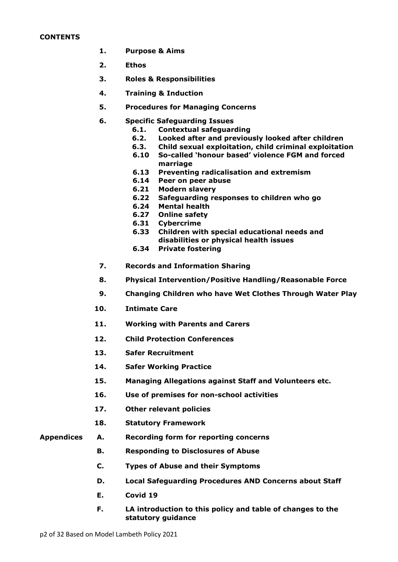#### **CONTENTS**

- **1. Purpose & Aims**
- **2. Ethos**
- **3. Roles & Responsibilities**
- **4. Training & Induction**
- **5. Procedures for Managing Concerns**
- **6. Specific Safeguarding Issues**
	- **6.1. Contextual safeguarding**
	- **6.2. Looked after and previously looked after children**
	- **6.3. Child sexual exploitation, child criminal exploitation**
	- **6.10 So-called 'honour based' violence FGM and forced marriage**
	- **6.13 Preventing radicalisation and extremism**
	- **6.14 Peer on peer abuse**
	- **6.21 Modern slavery**
	- **6.22 Safeguarding responses to children who go**
	- **6.24 Mental health**
	- **6.27 Online safety**
	- **6.31 Cybercrime**
	- **6.33 Children with special educational needs and disabilities or physical health issues**
	- **6.34 Private fostering**
- **7. Records and Information Sharing**
- **8. Physical Intervention/Positive Handling/Reasonable Force**
- **9. Changing Children who have Wet Clothes Through Water Play**
- **10. Intimate Care**
- **11. Working with Parents and Carers**
- **12. Child Protection Conferences**
- **13. Safer Recruitment**
- **14. Safer Working Practice**
- **15. Managing Allegations against Staff and Volunteers etc.**
- **16. Use of premises for non-school activities**
- **17. Other relevant policies**
- **18. Statutory Framework**
- **Appendices A. Recording form for reporting concerns**
	- **B. Responding to Disclosures of Abuse**
	- **C. Types of Abuse and their Symptoms**
	- **D. Local Safeguarding Procedures AND Concerns about Staff**
	- **E. Covid 19**
	- **F. LA introduction to this policy and table of changes to the statutory guidance**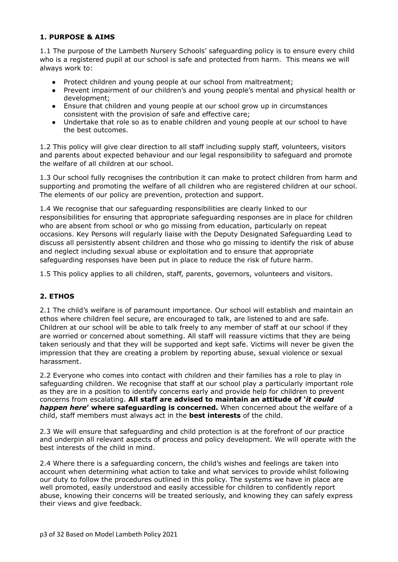# **1. PURPOSE & AIMS**

1.1 The purpose of the Lambeth Nursery Schools' safeguarding policy is to ensure every child who is a registered pupil at our school is safe and protected from harm. This means we will always work to:

- Protect children and young people at our school from maltreatment;
- Prevent impairment of our children's and young people's mental and physical health or development;
- Ensure that children and young people at our school grow up in circumstances consistent with the provision of safe and effective care;
- Undertake that role so as to enable children and young people at our school to have the best outcomes.

1.2 This policy will give clear direction to all staff including supply staff, volunteers, visitors and parents about expected behaviour and our legal responsibility to safeguard and promote the welfare of all children at our school.

1.3 Our school fully recognises the contribution it can make to protect children from harm and supporting and promoting the welfare of all children who are registered children at our school. The elements of our policy are prevention, protection and support.

1.4 We recognise that our safeguarding responsibilities are clearly linked to our responsibilities for ensuring that appropriate safeguarding responses are in place for children who are absent from school or who go missing from education, particularly on repeat occasions. Key Persons will regularly liaise with the Deputy Designated Safeguarding Lead to discuss all persistently absent children and those who go missing to identify the risk of abuse and neglect including sexual abuse or exploitation and to ensure that appropriate safeguarding responses have been put in place to reduce the risk of future harm.

1.5 This policy applies to all children, staff, parents, governors, volunteers and visitors.

# **2. ETHOS**

2.1 The child's welfare is of paramount importance. Our school will establish and maintain an ethos where children feel secure, are encouraged to talk, are listened to and are safe. Children at our school will be able to talk freely to any member of staff at our school if they are worried or concerned about something. All staff will reassure victims that they are being taken seriously and that they will be supported and kept safe. Victims will never be given the impression that they are creating a problem by reporting abuse, sexual violence or sexual harassment.

2.2 Everyone who comes into contact with children and their families has a role to play in safeguarding children. We recognise that staff at our school play a particularly important role as they are in a position to identify concerns early and provide help for children to prevent concerns from escalating. **All staff are advised to maintain an attitude of '***it could happen here***' where safeguarding is concerned.** When concerned about the welfare of a child, staff members must always act in the **best interests** of the child.

2.3 We will ensure that safeguarding and child protection is at the forefront of our practice and underpin all relevant aspects of process and policy development. We will operate with the best interests of the child in mind.

2.4 Where there is a safeguarding concern, the child's wishes and feelings are taken into account when determining what action to take and what services to provide whilst following our duty to follow the procedures outlined in this policy. The systems we have in place are well promoted, easily understood and easily accessible for children to confidently report abuse, knowing their concerns will be treated seriously, and knowing they can safely express their views and give feedback.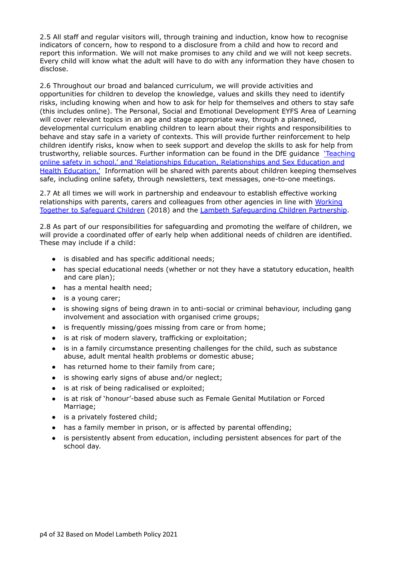2.5 All staff and regular visitors will, through training and induction, know how to recognise indicators of concern, how to respond to a disclosure from a child and how to record and report this information. We will not make promises to any child and we will not keep secrets. Every child will know what the adult will have to do with any information they have chosen to disclose.

2.6 Throughout our broad and balanced curriculum, we will provide activities and opportunities for children to develop the knowledge, values and skills they need to identify risks, including knowing when and how to ask for help for themselves and others to stay safe (this includes online). The Personal, Social and Emotional Development EYFS Area of Learning will cover relevant topics in an age and stage appropriate way, through a planned, developmental curriculum enabling children to learn about their rights and responsibilities to behave and stay safe in a variety of contexts. This will provide further reinforcement to help children identify risks, know when to seek support and develop the skills to ask for help from trustworthy, reliable sources. Further information can be found in the DfE guidance ['Teaching](https://eur02.safelinks.protection.outlook.com/?url=https%3A%2F%2Fwww.gov.uk%2Fgovernment%2Fpublications%2Fteaching-online-safety-in-schools&data=04%7C01%7Clucy.canning%40norfolk.gov.uk%7C11813432630640e7421e08d946fee158%7C1419177e57e04f0faff0fd61b549d10e%7C0%7C0%7C637618882774063772%7CUnknown%7CTWFpbGZsb3d8eyJWIjoiMC4wLjAwMDAiLCJQIjoiV2luMzIiLCJBTiI6Ik1haWwiLCJXVCI6Mn0%3D%7C1000&sdata=a2veyRcU68QpbVQnKd2mEYenXhUqX%2FvR6LhxjVtRjRw%3D&reserved=0) online safety in [school.'](https://eur02.safelinks.protection.outlook.com/?url=https%3A%2F%2Fwww.gov.uk%2Fgovernment%2Fpublications%2Fteaching-online-safety-in-schools&data=04%7C01%7Clucy.canning%40norfolk.gov.uk%7C11813432630640e7421e08d946fee158%7C1419177e57e04f0faff0fd61b549d10e%7C0%7C0%7C637618882774063772%7CUnknown%7CTWFpbGZsb3d8eyJWIjoiMC4wLjAwMDAiLCJQIjoiV2luMzIiLCJBTiI6Ik1haWwiLCJXVCI6Mn0%3D%7C1000&sdata=a2veyRcU68QpbVQnKd2mEYenXhUqX%2FvR6LhxjVtRjRw%3D&reserved=0) and 'Relationships Education, Relationships and Sex Education and Health Education.' Information will be shared with parents about children keeping themselves safe, including online safety, through newsletters, text messages, one-to-one meetings.

2.7 At all times we will work in partnership and endeavour to establish effective working relationships with parents, carers and colleagues from other agencies in line with [Working](https://www.gov.uk/government/publications/working-together-to-safeguard-children--2) Together to [Safeguard](https://www.gov.uk/government/publications/working-together-to-safeguard-children--2) Children (2018) and the Lambeth [Safeguarding](https://www.lambethsaferchildren.org.uk/) Children Partnership.

2.8 As part of our responsibilities for safeguarding and promoting the welfare of children, we will provide a coordinated offer of early help when additional needs of children are identified. These may include if a child:

- is disabled and has specific additional needs;
- has special educational needs (whether or not they have a statutory education, health and care plan);
- has a mental health need;
- is a young carer;
- is showing signs of being drawn in to anti-social or criminal behaviour, including gang involvement and association with organised crime groups;
- is frequently missing/goes missing from care or from home;
- is at risk of modern slavery, trafficking or exploitation;
- is in a family circumstance presenting challenges for the child, such as substance abuse, adult mental health problems or domestic abuse;
- has returned home to their family from care;
- is showing early signs of abuse and/or neglect;
- is at risk of being radicalised or exploited;
- is at risk of 'honour'-based abuse such as Female Genital Mutilation or Forced Marriage;
- $\bullet$  is a privately fostered child;
- has a family member in prison, or is affected by parental offending;
- is persistently absent from education, including persistent absences for part of the school day.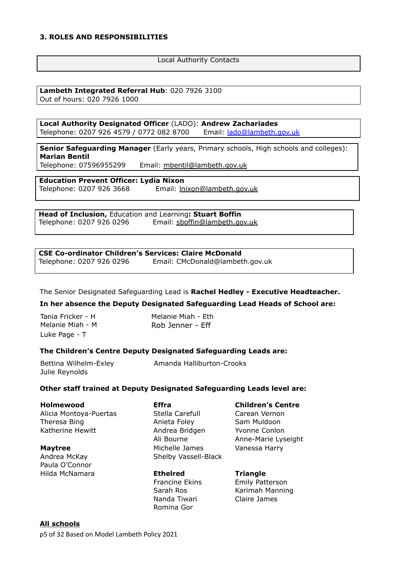#### **3. ROLES AND RESPONSIBILITIES**

#### Local Authority Contacts

# **Lambeth Integrated Referral Hub**: 020 7926 3100

Out of hours: 020 7926 1000

**Local Authority Designated Officer** (LADO): **Andrew Zachariades** Telephone: 0207 926 4579 / 0772 082 8700 Email: *lado@lambeth.gov.uk* 

**Senior Safeguarding Manager** (Early years, Primary schools, High schools and colleges): **Marian Bentil**

Telephone: 07596955299 Email: mbentil@lambeth.gov.uk

**Education Prevent Officer: Lydia Nixon**

Telephone: 0207 926 3668 Email: lnixon@lambeth.gov.uk

**Head of Inclusion,** Education and Learning**: Stuart Boffin** Telephone: 0207 926 0296 Email: sboffin@lambeth.gov.uk

#### **CSE Co-ordinator Children's Services: Claire McDonald**

Telephone: 0207 926 0296 Email: CMcDonald@lambeth.gov.uk

The Senior Designated Safeguarding Lead is **Rachel Hedley - Executive Headteacher.**

**In her absence the Deputy Designated Safeguarding Lead Heads of School are:**

| Tania Fricker - H |
|-------------------|
| Melanie Miah - M  |
| Luke Page - T     |

Melanie Miah - Eth Rob Jenner - Eff

# **The Children's Centre Deputy Designated Safeguarding Leads are:**

| Bettina Wilhelm-Exley | Amanda Halliburton-Crooks |
|-----------------------|---------------------------|
| Julie Reynolds        |                           |

# **Other staff trained at Deputy Designated Safeguarding Leads level are:**

| Holmewood              | <b>Effra</b>         | <b>Children's Centre</b> |
|------------------------|----------------------|--------------------------|
| Alicia Montoya-Puertas | Stella Carefull      | Carean Vernon            |
| Theresa Bing           | Anieta Foley         | Sam Muldoon              |
| Katherine Hewitt       | Andrea Bridgen       | Yvonne Conlon            |
|                        | Ali Bourne           | Anne-Marie Lyseight      |
| <b>Maytree</b>         | Michelle James       | Vanessa Harry            |
| Andrea McKay           | Shelby Vassell-Black |                          |
| Paula O'Connor         |                      |                          |

Hilda McNamara **Ethelred Triangle** Nanda Tiwari Romina Gor

Francine Ekins Emily Patterson Sarah Ros Karimah Manning Claire James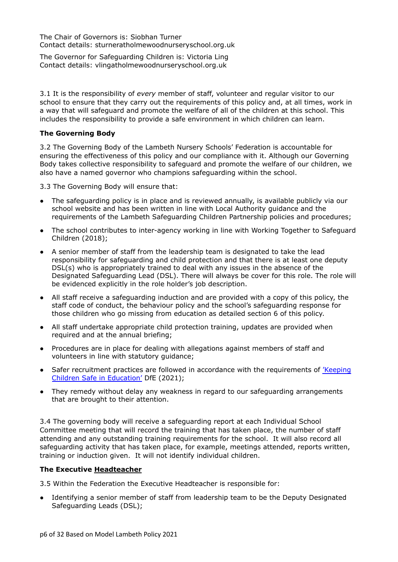The Chair of Governors is: Siobhan Turner Contact details: sturneratholmewoodnurseryschool.org.uk

The Governor for Safeguarding Children is: Victoria Ling Contact details: vlingatholmewoodnurseryschool.org.uk

3.1 It is the responsibility of *every* member of staff, volunteer and regular visitor to our school to ensure that they carry out the requirements of this policy and, at all times, work in a way that will safeguard and promote the welfare of all of the children at this school. This includes the responsibility to provide a safe environment in which children can learn.

#### **The Governing Body**

3.2 The Governing Body of the Lambeth Nursery Schools' Federation is accountable for ensuring the effectiveness of this policy and our compliance with it. Although our Governing Body takes collective responsibility to safeguard and promote the welfare of our children, we also have a named governor who champions safeguarding within the school.

3.3 The Governing Body will ensure that:

- The safeguarding policy is in place and is reviewed annually, is available publicly via our school website and has been written in line with Local Authority guidance and the requirements of the Lambeth Safeguarding Children Partnership policies and procedures;
- The school contributes to inter-agency working in line with Working Together to Safeguard Children (2018);
- A senior member of staff from the leadership team is designated to take the lead responsibility for safeguarding and child protection and that there is at least one deputy DSL(s) who is appropriately trained to deal with any issues in the absence of the Designated Safeguarding Lead (DSL). There will always be cover for this role. The role will be evidenced explicitly in the role holder's job description.
- All staff receive a safeguarding induction and are provided with a copy of this policy, the staff code of conduct, the behaviour policy and the school's safeguarding response for those children who go missing from education as detailed section 6 of this policy.
- All staff undertake appropriate child protection training, updates are provided when required and at the annual briefing;
- Procedures are in place for dealing with allegations against members of staff and volunteers in line with statutory guidance;
- Safer recruitment practices are followed in accordance with the requirements of ['Keeping](https://www.gov.uk/government/publications/keeping-children-safe-in-education--2) Children Safe in [Education'](https://www.gov.uk/government/publications/keeping-children-safe-in-education--2) DfE (2021);
- They remedy without delay any weakness in regard to our safeguarding arrangements that are brought to their attention.

3.4 The governing body will receive a safeguarding report at each Individual School Committee meeting that will record the training that has taken place, the number of staff attending and any outstanding training requirements for the school. It will also record all safeguarding activity that has taken place, for example, meetings attended, reports written, training or induction given. It will not identify individual children.

#### **The Executive Headteacher**

3.5 Within the Federation the Executive Headteacher is responsible for:

• Identifying a senior member of staff from leadership team to be the Deputy Designated Safeguarding Leads (DSL);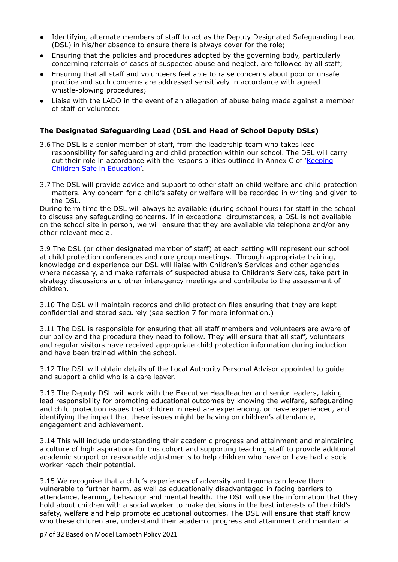- Identifying alternate members of staff to act as the Deputy Designated Safeguarding Lead (DSL) in his/her absence to ensure there is always cover for the role;
- Ensuring that the policies and procedures adopted by the governing body, particularly concerning referrals of cases of suspected abuse and neglect, are followed by all staff;
- Ensuring that all staff and volunteers feel able to raise concerns about poor or unsafe practice and such concerns are addressed sensitively in accordance with agreed whistle-blowing procedures;
- Liaise with the LADO in the event of an allegation of abuse being made against a member of staff or volunteer.

#### **The Designated Safeguarding Lead (DSL and Head of School Deputy DSLs)**

- 3.6 The DSL is a senior member of staff, from the leadership team who takes lead responsibility for safeguarding and child protection within our school. The DSL will carry out their role in accordance with the responsibilities outlined in Annex C of *'*[Keeping](https://www.gov.uk/government/publications/keeping-children-safe-in-education--2) Children Safe in [Education'](https://www.gov.uk/government/publications/keeping-children-safe-in-education--2)*.*
- 3.7 The DSL will provide advice and support to other staff on child welfare and child protection matters. Any concern for a child's safety or welfare will be recorded in writing and given to the DSL.

During term time the DSL will always be available (during school hours) for staff in the school to discuss any safeguarding concerns. If in exceptional circumstances, a DSL is not available on the school site in person, we will ensure that they are available via telephone and/or any other relevant media.

3.9 The DSL (or other designated member of staff) at each setting will represent our school at child protection conferences and core group meetings. Through appropriate training, knowledge and experience our DSL will liaise with Children's Services and other agencies where necessary, and make referrals of suspected abuse to Children's Services, take part in strategy discussions and other interagency meetings and contribute to the assessment of children.

3.10 The DSL will maintain records and child protection files ensuring that they are kept confidential and stored securely (see section 7 for more information.)

3.11 The DSL is responsible for ensuring that all staff members and volunteers are aware of our policy and the procedure they need to follow. They will ensure that all staff, volunteers and regular visitors have received appropriate child protection information during induction and have been trained within the school.

3.12 The DSL will obtain details of the Local Authority Personal Advisor appointed to guide and support a child who is a care leaver.

3.13 The Deputy DSL will work with the Executive Headteacher and senior leaders, taking lead responsibility for promoting educational outcomes by knowing the welfare, safeguarding and child protection issues that children in need are experiencing, or have experienced, and identifying the impact that these issues might be having on children's attendance, engagement and achievement.

3.14 This will include understanding their academic progress and attainment and maintaining a culture of high aspirations for this cohort and supporting teaching staff to provide additional academic support or reasonable adjustments to help children who have or have had a social worker reach their potential.

3.15 We recognise that a child's experiences of adversity and trauma can leave them vulnerable to further harm, as well as educationally disadvantaged in facing barriers to attendance, learning, behaviour and mental health. The DSL will use the information that they hold about children with a social worker to make decisions in the best interests of the child's safety, welfare and help promote educational outcomes. The DSL will ensure that staff know who these children are, understand their academic progress and attainment and maintain a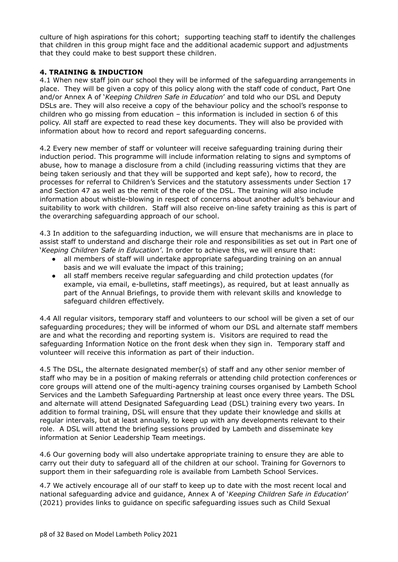culture of high aspirations for this cohort; supporting teaching staff to identify the challenges that children in this group might face and the additional academic support and adjustments that they could make to best support these children.

# **4. TRAINING & INDUCTION**

4.1 When new staff join our school they will be informed of the safeguarding arrangements in place. They will be given a copy of this policy along with the staff code of conduct, Part One and/or Annex A of '*Keeping Children Safe in Education*' and told who our DSL and Deputy DSLs are. They will also receive a copy of the behaviour policy and the school's response to children who go missing from education – this information is included in section 6 of this policy. All staff are expected to read these key documents. They will also be provided with information about how to record and report safeguarding concerns.

4.2 Every new member of staff or volunteer will receive safeguarding training during their induction period. This programme will include information relating to signs and symptoms of abuse, how to manage a disclosure from a child (including reassuring victims that they are being taken seriously and that they will be supported and kept safe), how to record, the processes for referral to Children's Services and the statutory assessments under Section 17 and Section 47 as well as the remit of the role of the DSL. The training will also include information about whistle-blowing in respect of concerns about another adult's behaviour and suitability to work with children. Staff will also receive on-line safety training as this is part of the overarching safeguarding approach of our school.

4.3 In addition to the safeguarding induction, we will ensure that mechanisms are in place to assist staff to understand and discharge their role and responsibilities as set out in Part one of '*Keeping Children Safe in Education'*. In order to achieve this, we will ensure that:

- all members of staff will undertake appropriate safeguarding training on an annual basis and we will evaluate the impact of this training;
- all staff members receive regular safeguarding and child protection updates (for example, via email, e-bulletins, staff meetings), as required, but at least annually as part of the Annual Briefings, to provide them with relevant skills and knowledge to safeguard children effectively.

4.4 All regular visitors, temporary staff and volunteers to our school will be given a set of our safeguarding procedures; they will be informed of whom our DSL and alternate staff members are and what the recording and reporting system is. Visitors are required to read the safeguarding Information Notice on the front desk when they sign in. Temporary staff and volunteer will receive this information as part of their induction.

4.5 The DSL, the alternate designated member(s) of staff and any other senior member of staff who may be in a position of making referrals or attending child protection conferences or core groups will attend one of the multi-agency training courses organised by Lambeth School Services and the Lambeth Safeguarding Partnership at least once every three years. The DSL and alternate will attend Designated Safeguarding Lead (DSL) training every two years. In addition to formal training, DSL will ensure that they update their knowledge and skills at regular intervals, but at least annually, to keep up with any developments relevant to their role. A DSL will attend the briefing sessions provided by Lambeth and disseminate key information at Senior Leadership Team meetings.

4.6 Our governing body will also undertake appropriate training to ensure they are able to carry out their duty to safeguard all of the children at our school. Training for Governors to support them in their safeguarding role is available from Lambeth School Services.

4.7 We actively encourage all of our staff to keep up to date with the most recent local and national safeguarding advice and guidance, Annex A of '*Keeping Children Safe in Education*' (2021) provides links to guidance on specific safeguarding issues such as Child Sexual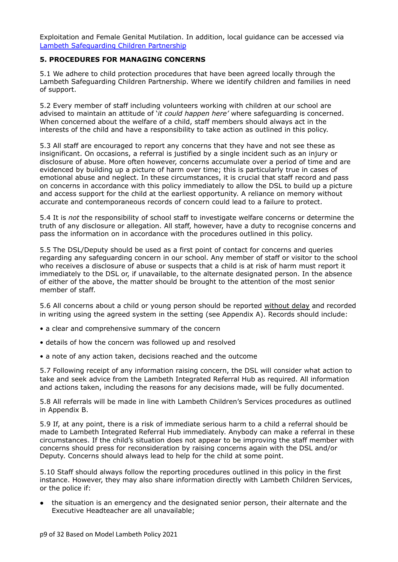Exploitation and Female Genital Mutilation. In addition, local guidance can be accessed via Lambeth [Safeguarding](https://www.lambethsaferchildren.org.uk/) Children Partnership

#### **5. PROCEDURES FOR MANAGING CONCERNS**

5.1 We adhere to child protection procedures that have been agreed locally through the Lambeth Safeguarding Children Partnership. Where we identify children and families in need of support.

5.2 Every member of staff including volunteers working with children at our school are advised to maintain an attitude of '*it could happen here'* where safeguarding is concerned. When concerned about the welfare of a child, staff members should always act in the interests of the child and have a responsibility to take action as outlined in this policy.

5.3 All staff are encouraged to report any concerns that they have and not see these as insignificant. On occasions, a referral is justified by a single incident such as an injury or disclosure of abuse. More often however, concerns accumulate over a period of time and are evidenced by building up a picture of harm over time; this is particularly true in cases of emotional abuse and neglect. In these circumstances, it is crucial that staff record and pass on concerns in accordance with this policy immediately to allow the DSL to build up a picture and access support for the child at the earliest opportunity. A reliance on memory without accurate and contemporaneous records of concern could lead to a failure to protect.

5.4 It is *not* the responsibility of school staff to investigate welfare concerns or determine the truth of any disclosure or allegation. All staff, however, have a duty to recognise concerns and pass the information on in accordance with the procedures outlined in this policy.

5.5 The DSL/Deputy should be used as a first point of contact for concerns and queries regarding any safeguarding concern in our school. Any member of staff or visitor to the school who receives a disclosure of abuse or suspects that a child is at risk of harm must report it immediately to the DSL or, if unavailable, to the alternate designated person. In the absence of either of the above, the matter should be brought to the attention of the most senior member of staff.

5.6 All concerns about a child or young person should be reported without delay and recorded in writing using the agreed system in the setting (see Appendix A). Records should include:

- a clear and comprehensive summary of the concern
- details of how the concern was followed up and resolved
- a note of any action taken, decisions reached and the outcome

5.7 Following receipt of any information raising concern, the DSL will consider what action to take and seek advice from the Lambeth Integrated Referral Hub as required. All information and actions taken, including the reasons for any decisions made, will be fully documented.

5.8 All referrals will be made in line with Lambeth Children's Services procedures as outlined in Appendix B.

5.9 If, at any point, there is a risk of immediate serious harm to a child a referral should be made to Lambeth Integrated Referral Hub immediately. Anybody can make a referral in these circumstances. If the child's situation does not appear to be improving the staff member with concerns should press for reconsideration by raising concerns again with the DSL and/or Deputy. Concerns should always lead to help for the child at some point.

5.10 Staff should always follow the reporting procedures outlined in this policy in the first instance. However, they may also share information directly with Lambeth Children Services, or the police if:

the situation is an emergency and the designated senior person, their alternate and the Executive Headteacher are all unavailable;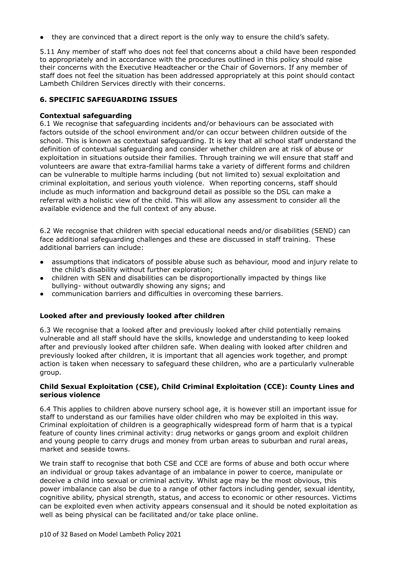• they are convinced that a direct report is the only way to ensure the child's safety.

5.11 Any member of staff who does not feel that concerns about a child have been responded to appropriately and in accordance with the procedures outlined in this policy should raise their concerns with the Executive Headteacher or the Chair of Governors. If any member of staff does not feel the situation has been addressed appropriately at this point should contact Lambeth Children Services directly with their concerns.

#### **6. SPECIFIC SAFEGUARDING ISSUES**

#### **Contextual safeguarding**

6.1 We recognise that safeguarding incidents and/or behaviours can be associated with factors outside of the school environment and/or can occur between children outside of the school. This is known as contextual safeguarding. It is key that all school staff understand the definition of contextual safeguarding and consider whether children are at risk of abuse or exploitation in situations outside their families. Through training we will ensure that staff and volunteers are aware that extra-familial harms take a variety of different forms and children can be vulnerable to multiple harms including (but not limited to) sexual exploitation and criminal exploitation, and serious youth violence. When reporting concerns, staff should include as much information and background detail as possible so the DSL can make a referral with a holistic view of the child. This will allow any assessment to consider all the available evidence and the full context of any abuse.

6.2 We recognise that children with special educational needs and/or disabilities (SEND) can face additional safeguarding challenges and these are discussed in staff training. These additional barriers can include:

- assumptions that indicators of possible abuse such as behaviour, mood and injury relate to the child's disability without further exploration;
- children with SEN and disabilities can be disproportionally impacted by things like bullying- without outwardly showing any signs; and
- communication barriers and difficulties in overcoming these barriers.

# **Looked after and previously looked after children**

6.3 We recognise that a looked after and previously looked after child potentially remains vulnerable and all staff should have the skills, knowledge and understanding to keep looked after and previously looked after children safe. When dealing with looked after children and previously looked after children, it is important that all agencies work together, and prompt action is taken when necessary to safeguard these children, who are a particularly vulnerable group.

#### **Child Sexual Exploitation (CSE), Child Criminal Exploitation (CCE): County Lines and serious violence**

6.4 This applies to children above nursery school age, it is however still an important issue for staff to understand as our families have older children who may be exploited in this way. Criminal exploitation of children is a geographically widespread form of harm that is a typical feature of county lines criminal activity: drug networks or gangs groom and exploit children and young people to carry drugs and money from urban areas to suburban and rural areas, market and seaside towns.

We train staff to recognise that both CSE and CCE are forms of abuse and both occur where an individual or group takes advantage of an imbalance in power to coerce, manipulate or deceive a child into sexual or criminal activity. Whilst age may be the most obvious, this power imbalance can also be due to a range of other factors including gender, sexual identity, cognitive ability, physical strength, status, and access to economic or other resources. Victims can be exploited even when activity appears consensual and it should be noted exploitation as well as being physical can be facilitated and/or take place online.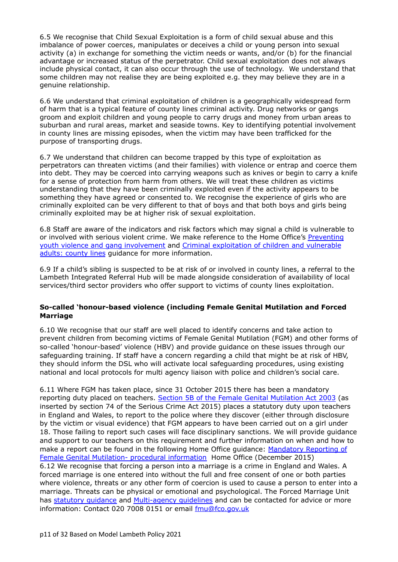6.5 We recognise that Child Sexual Exploitation is a form of child sexual abuse and this imbalance of power coerces, manipulates or deceives a child or young person into sexual activity (a) in exchange for something the victim needs or wants, and/or (b) for the financial advantage or increased status of the perpetrator. Child sexual exploitation does not always include physical contact, it can also occur through the use of technology. We understand that some children may not realise they are being exploited e.g. they may believe they are in a genuine relationship.

6.6 We understand that criminal exploitation of children is a geographically widespread form of harm that is a typical feature of county lines criminal activity. Drug networks or gangs groom and exploit children and young people to carry drugs and money from urban areas to suburban and rural areas, market and seaside towns. Key to identifying potential involvement in county lines are missing episodes, when the victim may have been trafficked for the purpose of transporting drugs.

6.7 We understand that children can become trapped by this type of exploitation as perpetrators can threaten victims (and their families) with violence or entrap and coerce them into debt. They may be coerced into carrying weapons such as knives or begin to carry a knife for a sense of protection from harm from others. We will treat these children as victims understanding that they have been criminally exploited even if the activity appears to be something they have agreed or consented to. We recognise the experience of girls who are criminally exploited can be very different to that of boys and that both boys and girls being criminally exploited may be at higher risk of sexual exploitation.

6.8 Staff are aware of the indicators and risk factors which may signal a child is vulnerable to or involved with serious violent crime. We make reference to the Home Office's [Preventing](https://www.gov.uk/government/publications/advice-to-schools-and-colleges-on-gangs-and-youth-violence) youth violence and gang [involvement](https://www.gov.uk/government/publications/advice-to-schools-and-colleges-on-gangs-and-youth-violence) and Criminal [exploitation](https://www.gov.uk/government/publications/criminal-exploitation-of-children-and-vulnerable-adults-county-lines) of children and vulnerable [adults:](https://www.gov.uk/government/publications/criminal-exploitation-of-children-and-vulnerable-adults-county-lines) county lines guidance for more information.

6.9 If a child's sibling is suspected to be at risk of or involved in county lines, a referral to the Lambeth Integrated Referral Hub will be made alongside consideration of availability of local services/third sector providers who offer support to victims of county lines exploitation.

#### **So-called 'honour-based violence (including Female Genital Mutilation and Forced Marriage**

6.10 We recognise that our staff are well placed to identify concerns and take action to prevent children from becoming victims of Female Genital Mutilation (FGM) and other forms of so-called 'honour-based' violence (HBV) and provide guidance on these issues through our safeguarding training. If staff have a concern regarding a child that might be at risk of HBV, they should inform the DSL who will activate local safeguarding procedures, using existing national and local protocols for multi agency liaison with police and children's social care.

6.11 Where FGM has taken place, since 31 October 2015 there has been a mandatory reporting duty placed on teachers. Section 5B of the Female Genital [Mutilation](http://www.legislation.gov.uk/ukpga/2003/31/section/5B) Act 2003 (as inserted by section 74 of the Serious Crime Act 2015) places a statutory duty upon teachers in England and Wales, to report to the police where they discover (either through disclosure by the victim or visual evidence) that FGM appears to have been carried out on a girl under 18. Those failing to report such cases will face disciplinary sanctions. We will provide guidance and support to our teachers on this requirement and further information on when and how to make a report can be found in the following Home Office guidance: [Mandatory](https://www.gov.uk/government/publications/mandatory-reporting-of-female-genital-mutilation-procedural-information) Reporting of Female Genital Mutilation- procedural [information](https://www.gov.uk/government/publications/mandatory-reporting-of-female-genital-mutilation-procedural-information) Home Office (December 2015) 6.12 We recognise that forcing a person into a marriage is a crime in England and Wales. A forced marriage is one entered into without the full and free consent of one or both parties where violence, threats or any other form of coercion is used to cause a person to enter into a marriage. Threats can be physical or emotional and psychological. The Forced Marriage Unit has [statutory](https://www.gov.uk/guidance/forced-marriage) guidance and [Multi-agency](https://assets.publishing.service.gov.uk/government/uploads/system/uploads/attachment_data/file/322307/HMG_MULTI_AGENCY_PRACTICE_GUIDELINES_v1_180614_FINAL.pdf) guidelines and can be contacted for advice or more information: Contact 020 7008 0151 or email [fmu@fco.gov.uk](mailto:fmu@fco.gov.uk)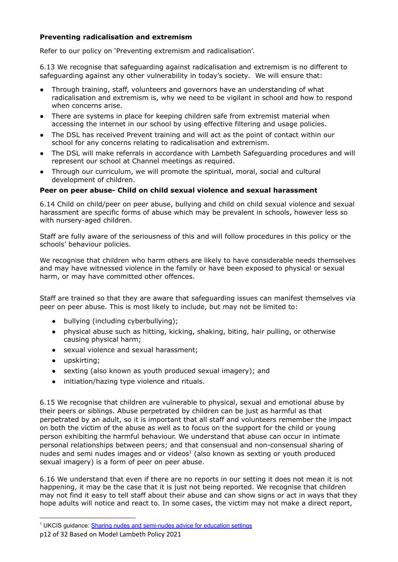# **Preventing radicalisation and extremism**

Refer to our policy on 'Preventing extremism and radicalisation'.

6.13 We recognise that safeguarding against radicalisation and extremism is no different to safeguarding against any other vulnerability in today's society*.* We will ensure that:

- Through training, staff, volunteers and governors have an understanding of what radicalisation and extremism is, why we need to be vigilant in school and how to respond when concerns arise.
- There are systems in place for keeping children safe from extremist material when accessing the internet in our school by using effective filtering and usage policies.
- The DSL has received Prevent training and will act as the point of contact within our school for any concerns relating to radicalisation and extremism.
- The DSL will make referrals in accordance with Lambeth Safeguarding procedures and will represent our school at Channel meetings as required.
- Through our curriculum, we will promote the spiritual, moral, social and cultural development of children.

# **Peer on peer abuse- Child on child sexual violence and sexual harassment**

6.14 Child on child/peer on peer abuse, bullying and child on child sexual violence and sexual harassment are specific forms of abuse which may be prevalent in schools, however less so with nursery-aged children.

Staff are fully aware of the seriousness of this and will follow procedures in this policy or the schools' behaviour policies.

We recognise that children who harm others are likely to have considerable needs themselves and may have witnessed violence in the family or have been exposed to physical or sexual harm, or may have committed other offences.

Staff are trained so that they are aware that safeguarding issues can manifest themselves via peer on peer abuse. This is most likely to include, but may not be limited to:

- bullying (including cyberbullying);
- physical abuse such as hitting, kicking, shaking, biting, hair pulling, or otherwise causing physical harm;
- sexual violence and sexual harassment;
- upskirting;
- sexting (also known as youth produced sexual imagery); and
- initiation/hazing type violence and rituals.

6.15 We recognise that children are vulnerable to physical, sexual and emotional abuse by their peers or siblings. Abuse perpetrated by children can be just as harmful as that perpetrated by an adult, so it is important that all staff and volunteers remember the impact on both the victim of the abuse as well as to focus on the support for the child or young person exhibiting the harmful behaviour. We understand that abuse can occur in intimate personal relationships between peers; and that consensual and non-consensual sharing of nudes and semi nudes images and or videos $1$  (also known as sexting or youth produced sexual imagery) is a form of peer on peer abuse.

6.16 We understand that even if there are no reports in our setting it does not mean it is not happening, it may be the case that it is just not being reported. We recognise that children may not find it easy to tell staff about their abuse and can show signs or act in ways that they hope adults will notice and react to. In some cases, the victim may not make a direct report,

<sup>&</sup>lt;sup>1</sup> UKCIS guidance: [Sharing nudes and semi-nudes advice](https://www.gov.uk/government/publications/sharing-nudes-and-semi-nudes-advice-for-education-settings-working-with-children-and-young-people/sharing-nudes-and-semi-nudes-how-to-respond-to-an-incident-overview) for education settings

p12 of 32 Based on Model Lambeth Policy 2021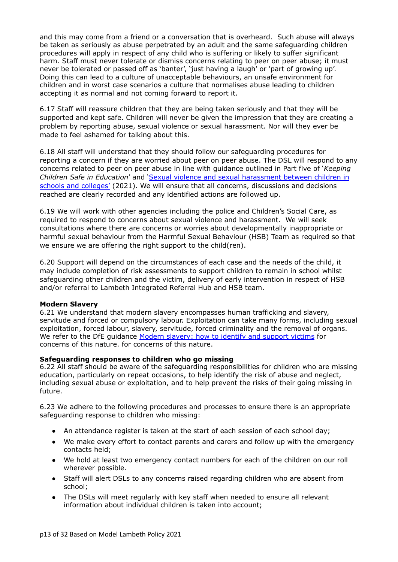and this may come from a friend or a conversation that is overheard. Such abuse will always be taken as seriously as abuse perpetrated by an adult and the same safeguarding children procedures will apply in respect of any child who is suffering or likely to suffer significant harm. Staff must never tolerate or dismiss concerns relating to peer on peer abuse; it must never be tolerated or passed off as 'banter', 'just having a laugh' or 'part of growing up'. Doing this can lead to a culture of unacceptable behaviours, an unsafe environment for children and in worst case scenarios a culture that normalises abuse leading to children accepting it as normal and not coming forward to report it.

6.17 Staff will reassure children that they are being taken seriously and that they will be supported and kept safe. Children will never be given the impression that they are creating a problem by reporting abuse, sexual violence or sexual harassment. Nor will they ever be made to feel ashamed for talking about this.

6.18 All staff will understand that they should follow our safeguarding procedures for reporting a concern if they are worried about peer on peer abuse. The DSL will respond to any concerns related to peer on peer abuse in line with guidance outlined in Part five of '*Keeping Children Safe in Education*' and 'Sexual violence and sexual [harassment](https://www.gov.uk/government/uploads/system/uploads/attachment_data/file/719902/Sexual_violence_and_sexual_harassment_between_children_in_schools_and_colleges.pdf) between children in schools and [colleges'](https://www.gov.uk/government/uploads/system/uploads/attachment_data/file/719902/Sexual_violence_and_sexual_harassment_between_children_in_schools_and_colleges.pdf) (2021). We will ensure that all concerns, discussions and decisions reached are clearly recorded and any identified actions are followed up.

6.19 We will work with other agencies including the police and Children's Social Care, as required to respond to concerns about sexual violence and harassment. We will seek consultations where there are concerns or worries about developmentally inappropriate or harmful sexual behaviour from the Harmful Sexual Behaviour (HSB) Team as required so that we ensure we are offering the right support to the child(ren).

6.20 Support will depend on the circumstances of each case and the needs of the child, it may include completion of risk assessments to support children to remain in school whilst safeguarding other children and the victim, delivery of early intervention in respect of HSB and/or referral to Lambeth Integrated Referral Hub and HSB team.

#### **Modern Slavery**

6.21 We understand that modern slavery encompasses human trafficking and slavery, servitude and forced or compulsory labour. Exploitation can take many forms, including sexual exploitation, forced labour, slavery, servitude, forced criminality and the removal of organs. We refer to the DfE quidance Modern [slavery:](https://www.gov.uk/government/publications/modern-slavery-how-to-identify-and-support-victims) how to identify and support victims for concerns of this nature. for concerns of this nature.

# **Safeguarding responses to children who go missing**

6.22 All staff should be aware of the safeguarding responsibilities for children who are missing education, particularly on repeat occasions, to help identify the risk of abuse and neglect, including sexual abuse or exploitation, and to help prevent the risks of their going missing in future.

6.23 We adhere to the following procedures and processes to ensure there is an appropriate safeguarding response to children who missing:

- An attendance register is taken at the start of each session of each school day;
- We make every effort to contact parents and carers and follow up with the emergency contacts held;
- We hold at least two emergency contact numbers for each of the children on our roll wherever possible.
- Staff will alert DSLs to any concerns raised regarding children who are absent from school;
- The DSLs will meet regularly with key staff when needed to ensure all relevant information about individual children is taken into account;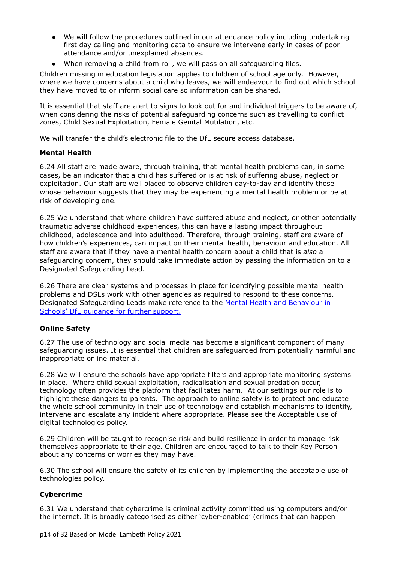- We will follow the procedures outlined in our attendance policy including undertaking first day calling and monitoring data to ensure we intervene early in cases of poor attendance and/or unexplained absences.
- When removing a child from roll, we will pass on all safeguarding files.

Children missing in education legislation applies to children of school age only. However, where we have concerns about a child who leaves, we will endeavour to find out which school they have moved to or inform social care so information can be shared.

It is essential that staff are alert to signs to look out for and individual triggers to be aware of, when considering the risks of potential safeguarding concerns such as travelling to conflict zones, Child Sexual Exploitation, Female Genital Mutilation, etc.

We will transfer the child's electronic file to the DfE secure access database.

#### **Mental Health**

6.24 All staff are made aware, through training, that mental health problems can, in some cases, be an indicator that a child has suffered or is at risk of suffering abuse, neglect or exploitation. Our staff are well placed to observe children day-to-day and identify those whose behaviour suggests that they may be experiencing a mental health problem or be at risk of developing one.

6.25 We understand that where children have suffered abuse and neglect, or other potentially traumatic adverse childhood experiences, this can have a lasting impact throughout childhood, adolescence and into adulthood. Therefore, through training, staff are aware of how children's experiences, can impact on their mental health, behaviour and education. All staff are aware that if they have a mental health concern about a child that is *also* a safeguarding concern, they should take immediate action by passing the information on to a Designated Safeguarding Lead.

6.26 There are clear systems and processes in place for identifying possible mental health problems and DSLs work with other agencies as required to respond to these concerns. Designated Safeguarding Leads make reference to the Mental Health and [Behaviour](https://www.gov.uk/government/publications/mental-health-and-behaviour-in-schools--2) in [Schools'](https://www.gov.uk/government/publications/mental-health-and-behaviour-in-schools--2) DfE guidance for further support.

# **Online Safety**

6.27 The use of technology and social media has become a significant component of many safeguarding issues. It is essential that children are safeguarded from potentially harmful and inappropriate online material.

6.28 We will ensure the schools have appropriate filters and appropriate monitoring systems in place. Where child sexual exploitation, radicalisation and sexual predation occur, technology often provides the platform that facilitates harm. At our settings our role is to highlight these dangers to parents. The approach to online safety is to protect and educate the whole school community in their use of technology and establish mechanisms to identify, intervene and escalate any incident where appropriate. Please see the Acceptable use of digital technologies policy.

6.29 Children will be taught to recognise risk and build resilience in order to manage risk themselves appropriate to their age. Children are encouraged to talk to their Key Person about any concerns or worries they may have.

6.30 The school will ensure the safety of its children by implementing the acceptable use of technologies policy.

# **Cybercrime**

6.31 We understand that cybercrime is criminal activity committed using computers and/or the internet. It is broadly categorised as either 'cyber-enabled' (crimes that can happen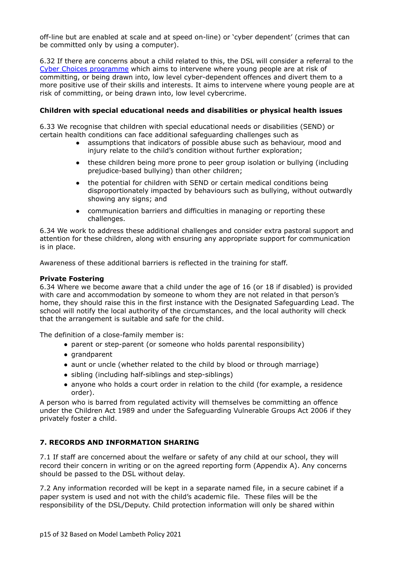off-line but are enabled at scale and at speed on-line) or 'cyber dependent' (crimes that can be committed only by using a computer).

6.32 If there are concerns about a child related to this, the DSL will consider a referral to the Cyber Choices [programme](https://nationalcrimeagency.gov.uk/what-we-do/crime-threats/cyber-crime/cyberchoices) which aims to intervene where young people are at risk of committing, or being drawn into, low level cyber-dependent offences and divert them to a more positive use of their skills and interests. It aims to intervene where young people are at risk of committing, or being drawn into, low level cybercrime.

# **Children with special educational needs and disabilities or physical health issues**

6.33 We recognise that children with special educational needs or disabilities (SEND) or certain health conditions can face additional safeguarding challenges such as

- **●** assumptions that indicators of possible abuse such as behaviour, mood and injury relate to the child's condition without further exploration;
- **●** these children being more prone to peer group isolation or bullying (including prejudice-based bullying) than other children;
- **●** the potential for children with SEND or certain medical conditions being disproportionately impacted by behaviours such as bullying, without outwardly showing any signs; and
- **●** communication barriers and difficulties in managing or reporting these challenges.

6.34 We work to address these additional challenges and consider extra pastoral support and attention for these children, along with ensuring any appropriate support for communication is in place.

Awareness of these additional barriers is reflected in the training for staff.

#### **Private Fostering**

6.34 Where we become aware that a child under the age of 16 (or 18 if disabled) is provided with care and accommodation by someone to whom they are not related in that person's home, they should raise this in the first instance with the Designated Safeguarding Lead. The school will notify the local authority of the circumstances, and the local authority will check that the arrangement is suitable and safe for the child.

The definition of a close-family member is:

- parent or step-parent (or someone who holds parental responsibility)
- grandparent
- aunt or uncle (whether related to the child by blood or through marriage)
- sibling (including half-siblings and step-siblings)
- anyone who holds a court order in relation to the child (for example, a residence order).

A person who is barred from regulated activity will themselves be committing an offence under the Children Act 1989 and under the Safeguarding Vulnerable Groups Act 2006 if they privately foster a child.

# **7. RECORDS AND INFORMATION SHARING**

7.1 If staff are concerned about the welfare or safety of any child at our school, they will record their concern in writing or on the agreed reporting form (Appendix A). Any concerns should be passed to the DSL without delay.

7.2 Any information recorded will be kept in a separate named file, in a secure cabinet if a paper system is used and not with the child's academic file. These files will be the responsibility of the DSL/Deputy. Child protection information will only be shared within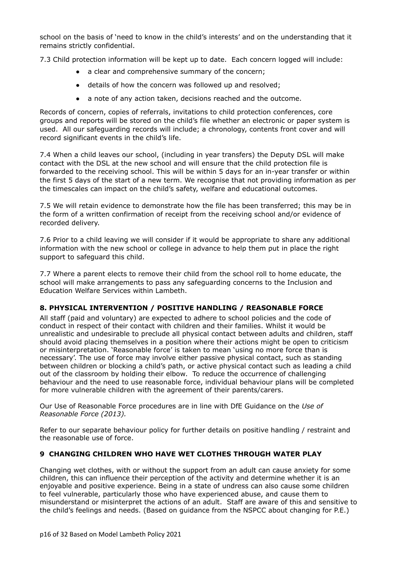school on the basis of 'need to know in the child's interests' and on the understanding that it remains strictly confidential.

7.3 Child protection information will be kept up to date. Each concern logged will include:

- **●** a clear and comprehensive summary of the concern;
- **●** details of how the concern was followed up and resolved;
- **●** a note of any action taken, decisions reached and the outcome.

Records of concern, copies of referrals, invitations to child protection conferences, core groups and reports will be stored on the child's file whether an electronic or paper system is used. All our safeguarding records will include; a chronology, contents front cover and will record significant events in the child's life.

7.4 When a child leaves our school, (including in year transfers) the Deputy DSL will make contact with the DSL at the new school and will ensure that the child protection file is forwarded to the receiving school. This will be within 5 days for an in-year transfer or within the first 5 days of the start of a new term. We recognise that not providing information as per the timescales can impact on the child's safety, welfare and educational outcomes.

7.5 We will retain evidence to demonstrate how the file has been transferred; this may be in the form of a written confirmation of receipt from the receiving school and/or evidence of recorded delivery.

7.6 Prior to a child leaving we will consider if it would be appropriate to share any additional information with the new school or college in advance to help them put in place the right support to safeguard this child.

7.7 Where a parent elects to remove their child from the school roll to home educate, the school will make arrangements to pass any safeguarding concerns to the Inclusion and Education Welfare Services within Lambeth.

# **8. PHYSICAL INTERVENTION / POSITIVE HANDLING / REASONABLE FORCE**

All staff (paid and voluntary) are expected to adhere to school policies and the code of conduct in respect of their contact with children and their families. Whilst it would be unrealistic and undesirable to preclude all physical contact between adults and children, staff should avoid placing themselves in a position where their actions might be open to criticism or misinterpretation. 'Reasonable force' is taken to mean 'using no more force than is necessary'. The use of force may involve either passive physical contact, such as standing between children or blocking a child's path, or active physical contact such as leading a child out of the classroom by holding their elbow. To reduce the occurrence of challenging behaviour and the need to use reasonable force, individual behaviour plans will be completed for more vulnerable children with the agreement of their parents/carers.

Our Use of Reasonable Force procedures are in line with DfE Guidance on the *Use of Reasonable Force (2013).*

Refer to our separate behaviour policy for further details on positive handling / restraint and the reasonable use of force.

# **9 CHANGING CHILDREN WHO HAVE WET CLOTHES THROUGH WATER PLAY**

Changing wet clothes, with or without the support from an adult can cause anxiety for some children, this can influence their perception of the activity and determine whether it is an enjoyable and positive experience. Being in a state of undress can also cause some children to feel vulnerable, particularly those who have experienced abuse, and cause them to misunderstand or misinterpret the actions of an adult. Staff are aware of this and sensitive to the child's feelings and needs. (Based on guidance from the NSPCC about changing for P.E.)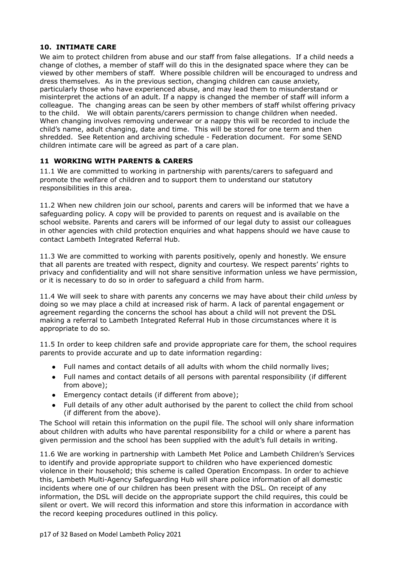# **10. INTIMATE CARE**

We aim to protect children from abuse and our staff from false allegations. If a child needs a change of clothes, a member of staff will do this in the designated space where they can be viewed by other members of staff. Where possible children will be encouraged to undress and dress themselves. As in the previous section, changing children can cause anxiety, particularly those who have experienced abuse, and may lead them to misunderstand or misinterpret the actions of an adult. If a nappy is changed the member of staff will inform a colleague. The changing areas can be seen by other members of staff whilst offering privacy to the child. We will obtain parents/carers permission to change children when needed. When changing involves removing underwear or a nappy this will be recorded to include the child's name, adult changing, date and time. This will be stored for one term and then shredded. See Retention and archiving schedule - Federation document. For some SEND children intimate care will be agreed as part of a care plan.

# **11 WORKING WITH PARENTS & CARERS**

11.1 We are committed to working in partnership with parents/carers to safeguard and promote the welfare of children and to support them to understand our statutory responsibilities in this area.

11.2 When new children join our school, parents and carers will be informed that we have a safeguarding policy. A copy will be provided to parents on request and is available on the school website. Parents and carers will be informed of our legal duty to assist our colleagues in other agencies with child protection enquiries and what happens should we have cause to contact Lambeth Integrated Referral Hub.

11.3 We are committed to working with parents positively, openly and honestly. We ensure that all parents are treated with respect, dignity and courtesy. We respect parents' rights to privacy and confidentiality and will not share sensitive information unless we have permission, or it is necessary to do so in order to safeguard a child from harm.

11.4 We will seek to share with parents any concerns we may have about their child *unless* by doing so we may place a child at increased risk of harm. A lack of parental engagement or agreement regarding the concerns the school has about a child will not prevent the DSL making a referral to Lambeth Integrated Referral Hub in those circumstances where it is appropriate to do so.

11.5 In order to keep children safe and provide appropriate care for them, the school requires parents to provide accurate and up to date information regarding:

- Full names and contact details of all adults with whom the child normally lives;
- Full names and contact details of all persons with parental responsibility (if different from above);
- Emergency contact details (if different from above);
- Full details of any other adult authorised by the parent to collect the child from school (if different from the above).

The School will retain this information on the pupil file. The school will only share information about children with adults who have parental responsibility for a child or where a parent has given permission and the school has been supplied with the adult's full details in writing.

11.6 We are working in partnership with Lambeth Met Police and Lambeth Children's Services to identify and provide appropriate support to children who have experienced domestic violence in their household; this scheme is called Operation Encompass. In order to achieve this, Lambeth Multi-Agency Safeguarding Hub will share police information of all domestic incidents where one of our children has been present with the DSL. On receipt of any information, the DSL will decide on the appropriate support the child requires, this could be silent or overt. We will record this information and store this information in accordance with the record keeping procedures outlined in this policy.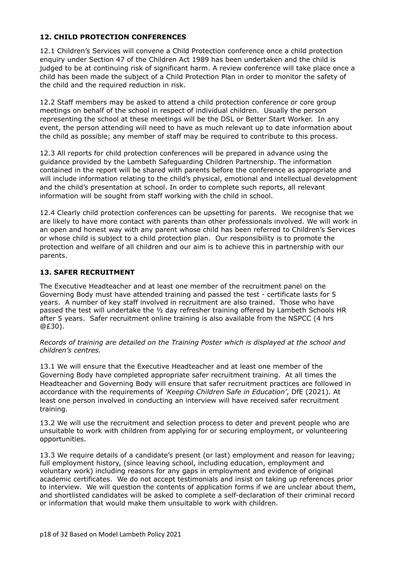# **12. CHILD PROTECTION CONFERENCES**

12.1 Children's Services will convene a Child Protection conference once a child protection enquiry under Section 47 of the Children Act 1989 has been undertaken and the child is judged to be at continuing risk of significant harm. A review conference will take place once a child has been made the subject of a Child Protection Plan in order to monitor the safety of the child and the required reduction in risk.

12.2 Staff members may be asked to attend a child protection conference or core group meetings on behalf of the school in respect of individual children. Usually the person representing the school at these meetings will be the DSL or Better Start Worker. In any event, the person attending will need to have as much relevant up to date information about the child as possible; any member of staff may be required to contribute to this process.

12.3 All reports for child protection conferences will be prepared in advance using the guidance provided by the Lambeth Safeguarding Children Partnership. The information contained in the report will be shared with parents before the conference as appropriate and will include information relating to the child's physical, emotional and intellectual development and the child's presentation at school. In order to complete such reports, all relevant information will be sought from staff working with the child in school.

12.4 Clearly child protection conferences can be upsetting for parents. We recognise that we are likely to have more contact with parents than other professionals involved. We will work in an open and honest way with any parent whose child has been referred to Children's Services or whose child is subject to a child protection plan. Our responsibility is to promote the protection and welfare of all children and our aim is to achieve this in partnership with our parents.

# **13. SAFER RECRUITMENT**

The Executive Headteacher and at least one member of the recruitment panel on the Governing Body must have attended training and passed the test - certificate lasts for 5 years. A number of key staff involved in recruitment are also trained. Those who have passed the test will undertake the ½ day refresher training offered by Lambeth Schools HR after 5 years. Safer recruitment online training is also available from the NSPCC (4 hrs @£30).

*Records of training are detailed on the Training Poster which is displayed at the school and children's centres.*

13.1 We will ensure that the Executive Headteacher and at least one member of the Governing Body have completed appropriate safer recruitment training. At all times the Headteacher and Governing Body will ensure that safer recruitment practices are followed in accordance with the requirements of *'Keeping Children Safe in Education'*, DfE (2021). At least one person involved in conducting an interview will have received safer recruitment training.

13.2 We will use the recruitment and selection process to deter and prevent people who are unsuitable to work with children from applying for or securing employment, or volunteering opportunities.

13.3 We require details of a candidate's present (or last) employment and reason for leaving; full employment history, (since leaving school, including education, employment and voluntary work) including reasons for any gaps in employment and evidence of original academic certificates. We do not accept testimonials and insist on taking up references prior to interview. We will question the contents of application forms if we are unclear about them, and shortlisted candidates will be asked to complete a self-declaration of their criminal record or information that would make them unsuitable to work with children.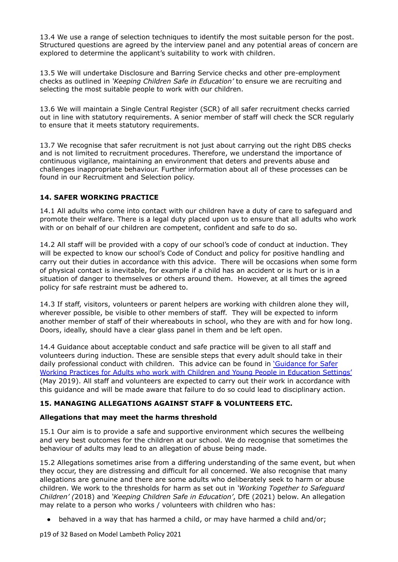13.4 We use a range of selection techniques to identify the most suitable person for the post. Structured questions are agreed by the interview panel and any potential areas of concern are explored to determine the applicant's suitability to work with children.

13.5 We will undertake Disclosure and Barring Service checks and other pre-employment checks as outlined in *'Keeping Children Safe in Education'* to ensure we are recruiting and selecting the most suitable people to work with our children.

13.6 We will maintain a Single Central Register (SCR) of all safer recruitment checks carried out in line with statutory requirements. A senior member of staff will check the SCR regularly to ensure that it meets statutory requirements.

13.7 We recognise that safer recruitment is not just about carrying out the right DBS checks and is not limited to recruitment procedures. Therefore, we understand the importance of continuous vigilance, maintaining an environment that deters and prevents abuse and challenges inappropriate behaviour. Further information about all of these processes can be found in our Recruitment and Selection policy.

# **14. SAFER WORKING PRACTICE**

14.1 All adults who come into contact with our children have a duty of care to safeguard and promote their welfare. There is a legal duty placed upon us to ensure that all adults who work with or on behalf of our children are competent, confident and safe to do so.

14.2 All staff will be provided with a copy of our school's code of conduct at induction. They will be expected to know our school's Code of Conduct and policy for positive handling and carry out their duties in accordance with this advice. There will be occasions when some form of physical contact is inevitable, for example if a child has an accident or is hurt or is in a situation of danger to themselves or others around them. However, at all times the agreed policy for safe restraint must be adhered to.

14.3 If staff, visitors, volunteers or parent helpers are working with children alone they will, wherever possible, be visible to other members of staff. They will be expected to inform another member of staff of their whereabouts in school, who they are with and for how long. Doors, ideally, should have a clear glass panel in them and be left open.

14.4 Guidance about acceptable conduct and safe practice will be given to all staff and volunteers during induction. These are sensible steps that every adult should take in their daily professional conduct with children. This advice can be found in ['Guidance](https://saferrecruitmentconsortium.org/) for Safer Working Practices for Adults who work with Children and Young People in [Education](https://saferrecruitmentconsortium.org/) Settings' (May 2019). All staff and volunteers are expected to carry out their work in accordance with this guidance and will be made aware that failure to do so could lead to disciplinary action.

# **15. MANAGING ALLEGATIONS AGAINST STAFF & VOLUNTEERS ETC.**

# **Allegations that may meet the harms threshold**

15.1 Our aim is to provide a safe and supportive environment which secures the wellbeing and very best outcomes for the children at our school. We do recognise that sometimes the behaviour of adults may lead to an allegation of abuse being made.

15.2 Allegations sometimes arise from a differing understanding of the same event, but when they occur, they are distressing and difficult for all concerned. We also recognise that many allegations are genuine and there are some adults who deliberately seek to harm or abuse children. We work to the thresholds for harm as set out in *'Working Together to Safeguard Children' (*2018) and *'Keeping Children Safe in Education'*, DfE (2021) below. An allegation may relate to a person who works / volunteers with children who has:

**●** behaved in a way that has harmed a child, or may have harmed a child and/or;

p19 of 32 Based on Model Lambeth Policy 2021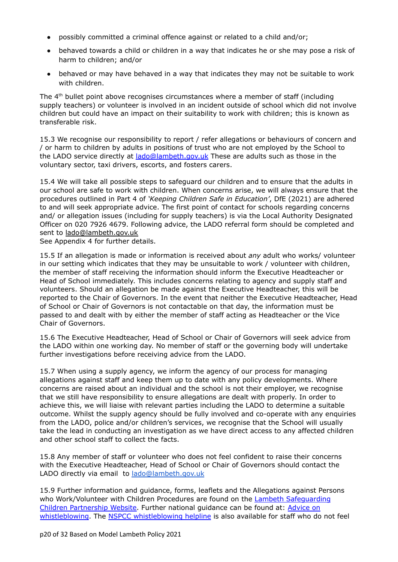- **●** possibly committed a criminal offence against or related to a child and/or;
- **●** behaved towards a child or children in a way that indicates he or she may pose a risk of harm to children; and/or
- **●** behaved or may have behaved in a way that indicates they may not be suitable to work with children.

The  $4<sup>th</sup>$  bullet point above recognises circumstances where a member of staff (including supply teachers) or volunteer is involved in an incident outside of school which did not involve children but could have an impact on their suitability to work with children; this is known as transferable risk.

15.3 We recognise our responsibility to report / refer allegations or behaviours of concern and / or harm to children by adults in positions of trust who are not employed by the School to the LADO service directly at lado@lambeth.gov.uk These are adults such as those in the voluntary sector, taxi drivers, escorts, and fosters carers.

15.4 We will take all possible steps to safeguard our children and to ensure that the adults in our school are safe to work with children. When concerns arise, we will always ensure that the procedures outlined in Part 4 of *'Keeping Children Safe in Education'*, DfE (2021) are adhered to and will seek appropriate advice. The first point of contact for schools regarding concerns and/ or allegation issues (including for supply teachers) is via the Local Authority Designated Officer on 020 7926 4679. Following advice, the LADO referral form should be completed and sent to [lado@lambeth.gov.uk](mailto:lado@lambeth.gov.uk)

See Appendix 4 for further details.

15.5 If an allegation is made or information is received about *any* adult who works/ volunteer in our setting which indicates that they may be unsuitable to work / volunteer with children, the member of staff receiving the information should inform the Executive Headteacher or Head of School immediately. This includes concerns relating to agency and supply staff and volunteers. Should an allegation be made against the Executive Headteacher, this will be reported to the Chair of Governors. In the event that neither the Executive Headteacher, Head of School or Chair of Governors is not contactable on that day, the information must be passed to and dealt with by either the member of staff acting as Headteacher or the Vice Chair of Governors.

15.6 The Executive Headteacher, Head of School or Chair of Governors will seek advice from the LADO within one working day. No member of staff or the governing body will undertake further investigations before receiving advice from the LADO.

15.7 When using a supply agency, we inform the agency of our process for managing allegations against staff and keep them up to date with any policy developments. Where concerns are raised about an individual and the school is not their employer, we recognise that we still have responsibility to ensure allegations are dealt with properly. In order to achieve this, we will liaise with relevant parties including the LADO to determine a suitable outcome. Whilst the supply agency should be fully involved and co-operate with any enquiries from the LADO, police and/or children's services, we recognise that the School will usually take the lead in conducting an investigation as we have direct access to any affected children and other school staff to collect the facts.

15.8 Any member of staff or volunteer who does not feel confident to raise their concerns with the Executive Headteacher, Head of School or Chair of Governors should contact the LADO directly via email to [lado@lambeth.gov.uk](mailto:lado@lambeth.gcsx.gov.uk)

15.9 Further information and guidance, forms, leaflets and the Allegations against Persons who Work/Volunteer with Children Procedures are found on the Lambeth Safequarding Children [Partnership](https://www.lambethsaferchildren.org.uk/lado-referrals) Website. Further national guidance can be found at: [Advice](https://www.gov.uk/whistleblowing) on [whistleblowing](https://www.gov.uk/whistleblowing). The NSPCC [whistleblowing](https://www.gov.uk/government/news/home-office-launches-child-abuse-whistleblowing-helpline) helpline is also available for staff who do not feel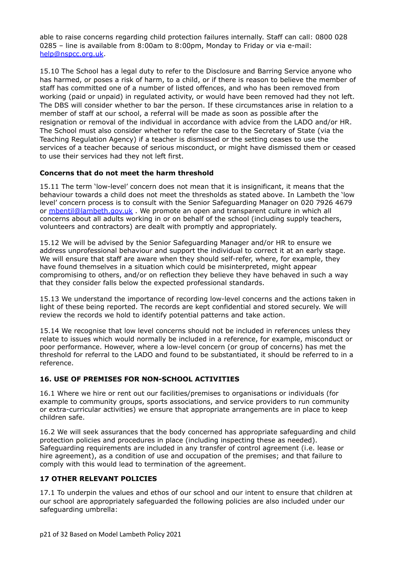able to raise concerns regarding child protection failures internally. Staff can call: 0800 028 0285 – line is available from 8:00am to 8:00pm, Monday to Friday or via e-mail: [help@nspcc.org.uk](mailto:help@nspcc.org.uk).

15.10 The School has a legal duty to refer to the Disclosure and Barring Service anyone who has harmed, or poses a risk of harm, to a child, or if there is reason to believe the member of staff has committed one of a number of listed offences, and who has been removed from working (paid or unpaid) in regulated activity, or would have been removed had they not left. The DBS will consider whether to bar the person. If these circumstances arise in relation to a member of staff at our school, a referral will be made as soon as possible after the resignation or removal of the individual in accordance with advice from the LADO and/or HR. The School must also consider whether to refer the case to the Secretary of State (via the Teaching Regulation Agency) if a teacher is dismissed or the setting ceases to use the services of a teacher because of serious misconduct, or might have dismissed them or ceased to use their services had they not left first.

# **Concerns that do not meet the harm threshold**

15.11 The term 'low-level' concern does not mean that it is insignificant, it means that the behaviour towards a child does not meet the thresholds as stated above. In Lambeth the 'low level' concern process is to consult with the Senior Safeguarding Manager on 020 7926 4679 or [mbentil@lambeth.gov.uk](mailto:mbentil@lambeth.gov.uk) . We promote an open and transparent culture in which all concerns about all adults working in or on behalf of the school (including supply teachers, volunteers and contractors) are dealt with promptly and appropriately.

15.12 We will be advised by the Senior Safeguarding Manager and/or HR to ensure we address unprofessional behaviour and support the individual to correct it at an early stage. We will ensure that staff are aware when they should self-refer, where, for example, they have found themselves in a situation which could be misinterpreted, might appear compromising to others, and/or on reflection they believe they have behaved in such a way that they consider falls below the expected professional standards.

15.13 We understand the importance of recording low-level concerns and the actions taken in light of these being reported. The records are kept confidential and stored securely. We will review the records we hold to identify potential patterns and take action.

15.14 We recognise that low level concerns should not be included in references unless they relate to issues which would normally be included in a reference, for example, misconduct or poor performance. However, where a low-level concern (or group of concerns) has met the threshold for referral to the LADO and found to be substantiated, it should be referred to in a reference.

# **16. USE OF PREMISES FOR NON-SCHOOL ACTIVITIES**

16.1 Where we hire or rent out our facilities/premises to organisations or individuals (for example to community groups, sports associations, and service providers to run community or extra-curricular activities) we ensure that appropriate arrangements are in place to keep children safe.

16.2 We will seek assurances that the body concerned has appropriate safeguarding and child protection policies and procedures in place (including inspecting these as needed). Safeguarding requirements are included in any transfer of control agreement (i.e. lease or hire agreement), as a condition of use and occupation of the premises; and that failure to comply with this would lead to termination of the agreement.

# **17 OTHER RELEVANT POLICIES**

17.1 To underpin the values and ethos of our school and our intent to ensure that children at our school are appropriately safeguarded the following policies are also included under our safeguarding umbrella: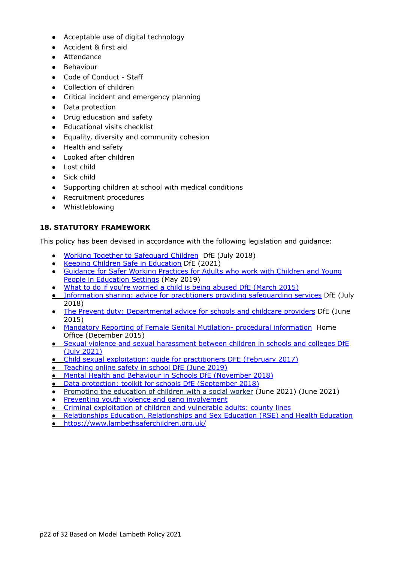- Acceptable use of digital technology
- Accident & first aid
- Attendance
- Behaviour
- Code of Conduct Staff
- Collection of children
- Critical incident and emergency planning
- Data protection
- Drug education and safety
- Educational visits checklist
- Equality, diversity and community cohesion
- Health and safety
- Looked after children
- Lost child
- Sick child
- Supporting children at school with medical conditions
- *●* Recruitment procedures
- Whistleblowing

# **18. STATUTORY FRAMEWORK**

This policy has been devised in accordance with the following legislation and guidance:

- Working Together to [Safeguard](https://www.gov.uk/government/publications/working-together-to-safeguard-children--2) Children DfE (July 2018)
- Keeping Children Safe in [Education](https://www.gov.uk/government/publications/keeping-children-safe-in-education--2) DfE (2021)
- [Guidance](https://www.saferrecruitmentconsortium.org/GSWP%20Sept%202019.pdf) for Safer Working Practices for Adults who work with Children and Young People in [Education](https://www.saferrecruitmentconsortium.org/GSWP%20Sept%202019.pdf) Settings (May 2019)
- What to do if you're [worried](https://www.gov.uk/government/uploads/system/uploads/attachment_data/file/419604/What_to_do_if_you_re_worried_a_child_is_being_abused.pdf) a child is being abused DfE (March 2015)
- Information sharing: advice for practitioners providing [safeguarding](https://www.gov.uk/government/uploads/system/uploads/attachment_data/file/721581/Information_sharing_advice_practitioners_safeguarding_services.pdf) services DfE (July 2018)
- The Prevent duty: [Departmental](https://assets.publishing.service.gov.uk/government/uploads/system/uploads/attachment_data/file/439598/prevent-duty-departmental-advice-v6.pdf) advice for schools and childcare providers DfE (June 2015)
- Mandatory Reporting of Female Genital Mutilation- procedural [information](https://www.gov.uk/government/publications/mandatory-reporting-of-female-genital-mutilation-procedural-information) Home Office (December 2015)
- Sexual violence and sexual [harassment](https://www.gov.uk/government/uploads/system/uploads/attachment_data/file/719902/Sexual_violence_and_sexual_harassment_between_children_in_schools_and_colleges.pdf) between children in schools and colleges DfE (July [2021\)](https://www.gov.uk/government/uploads/system/uploads/attachment_data/file/719902/Sexual_violence_and_sexual_harassment_between_children_in_schools_and_colleges.pdf)
- Child sexual [exploitation:](https://www.gov.uk/government/publications/child-sexual-exploitation-definition-and-guide-for-practitioners) guide for practitioners DFE (February 2017)
- [Teaching](https://www.gov.uk/government/publications/teaching-online-safety-in-schools) online safety in school DfE (June 2019)
- **Mental Health and [Behaviour](https://www.gov.uk/government/publications/mental-health-and-behaviour-in-schools--2) in Schools DfE (November 2018)**
- Data [protection:](https://www.gov.uk/government/publications/data-protection-toolkit-for-schools) toolkit for schools DfE (September 2018)
- [Promoting](https://www.gov.uk/government/publications/virtual-school-head-role-extension-to-children-with-a-social-worker) the education of children with a social worker (June 2021) (June 2021)
- Preventing youth violence and gang [involvement](https://www.gov.uk/government/publications/advice-to-schools-and-colleges-on-gangs-and-youth-violence)
- Criminal [exploitation](https://www.gov.uk/government/publications/criminal-exploitation-of-children-and-vulnerable-adults-county-lines) of children and vulnerable adults: county lines
- [Relationships](https://assets.publishing.service.gov.uk/government/uploads/system/uploads/attachment_data/file/908013/Relationships_Education__Relationships_and_Sex_Education__RSE__and_Health_Education.pdf) Education, Relationships and Sex Education (RSE) and Health Education
- https://www.lambethsaferchildren.org.uk/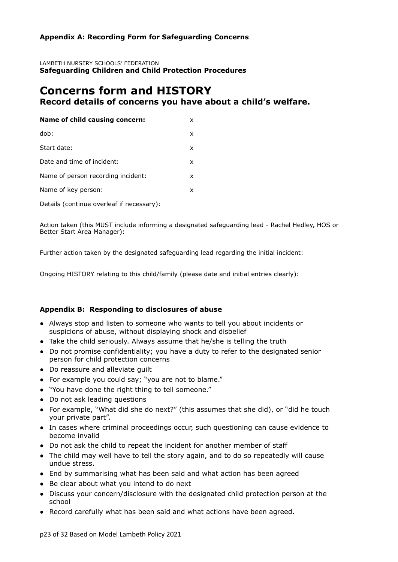# **Appendix A: Recording Form for Safeguarding Concerns**

LAMBETH NURSERY SCHOOLS' FEDERATION **Safeguarding Children and Child Protection Procedures**

# **Concerns form and HISTORY Record details of concerns you have about a child's welfare.**

| Name of child causing concern:<br>x     |  |
|-----------------------------------------|--|
| dob:<br>x                               |  |
| Start date:<br>x                        |  |
| Date and time of incident:<br>x         |  |
| Name of person recording incident:<br>x |  |
| Name of key person:<br>x                |  |

Details (continue overleaf if necessary):

Action taken (this MUST include informing a designated safeguarding lead - Rachel Hedley, HOS or Better Start Area Manager):

Further action taken by the designated safeguarding lead regarding the initial incident:

Ongoing HISTORY relating to this child/family (please date and initial entries clearly):

# **Appendix B: Responding to disclosures of abuse**

- Always stop and listen to someone who wants to tell you about incidents or suspicions of abuse, without displaying shock and disbelief
- Take the child seriously. Always assume that he/she is telling the truth
- Do not promise confidentiality; you have a duty to refer to the designated senior person for child protection concerns
- Do reassure and alleviate guilt
- For example you could say; "you are not to blame."
- "You have done the right thing to tell someone."
- Do not ask leading questions
- For example, "What did she do next?" (this assumes that she did), or "did he touch your private part".
- In cases where criminal proceedings occur, such questioning can cause evidence to become invalid
- Do not ask the child to repeat the incident for another member of staff
- The child may well have to tell the story again, and to do so repeatedly will cause undue stress.
- End by summarising what has been said and what action has been agreed
- Be clear about what you intend to do next
- Discuss your concern/disclosure with the designated child protection person at the school
- Record carefully what has been said and what actions have been agreed.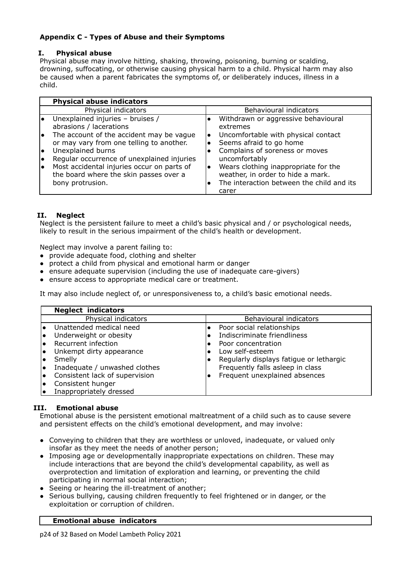# **Appendix C - Types of Abuse and their Symptoms**

# **I. Physical abuse**

Physical abuse may involve hitting, shaking, throwing, poisoning, burning or scalding, drowning, suffocating, or otherwise causing physical harm to a child. Physical harm may also be caused when a parent fabricates the symptoms of, or deliberately induces, illness in a child.

| <b>Physical abuse indicators</b>                                                                                                                                                                                                                                                                                                                           |                                                                                                                                                                                                                                                                                                               |
|------------------------------------------------------------------------------------------------------------------------------------------------------------------------------------------------------------------------------------------------------------------------------------------------------------------------------------------------------------|---------------------------------------------------------------------------------------------------------------------------------------------------------------------------------------------------------------------------------------------------------------------------------------------------------------|
| Physical indicators                                                                                                                                                                                                                                                                                                                                        | Behavioural indicators                                                                                                                                                                                                                                                                                        |
| Unexplained injuries - bruises /<br>abrasions / lacerations<br>The account of the accident may be vague<br>l۰<br>or may vary from one telling to another.<br>Unexplained burns<br>I۰<br>Regular occurrence of unexplained injuries<br>I۰<br>Most accidental injuries occur on parts of<br>l٠<br>the board where the skin passes over a<br>bony protrusion. | Withdrawn or aggressive behavioural<br>extremes<br>Uncomfortable with physical contact<br>Seems afraid to go home<br>Complains of soreness or moves<br>uncomfortably<br>Wears clothing inappropriate for the<br>I۰<br>weather, in order to hide a mark.<br>The interaction between the child and its<br>carer |

# **II. Neglect**

Neglect is the persistent failure to meet a child's basic physical and / or psychological needs, likely to result in the serious impairment of the child's health or development.

Neglect may involve a parent failing to:

- provide adequate food, clothing and shelter
- protect a child from physical and emotional harm or danger
- ensure adequate supervision (including the use of inadequate care-givers)
- ensure access to appropriate medical care or treatment.

It may also include neglect of, or unresponsiveness to, a child's basic emotional needs.

|    | <b>Neglect indicators</b>      |                                         |
|----|--------------------------------|-----------------------------------------|
|    | Physical indicators            | Behavioural indicators                  |
|    | Unattended medical need        | Poor social relationships               |
|    | Underweight or obesity         | Indiscriminate friendliness             |
|    | Recurrent infection            | Poor concentration                      |
|    | Unkempt dirty appearance       | Low self-esteem                         |
|    | Smelly                         | Regularly displays fatigue or lethargic |
| ١o | Inadequate / unwashed clothes  | Frequently falls asleep in class        |
| I۰ | Consistent lack of supervision | Frequent unexplained absences           |
|    | Consistent hunger              |                                         |
|    | Inappropriately dressed        |                                         |

# **III. Emotional abuse**

Emotional abuse is the persistent emotional maltreatment of a child such as to cause severe and persistent effects on the child's emotional development, and may involve:

- Conveying to children that they are worthless or unloved, inadequate, or valued only insofar as they meet the needs of another person;
- Imposing age or developmentally inappropriate expectations on children. These may include interactions that are beyond the child's developmental capability, as well as overprotection and limitation of exploration and learning, or preventing the child participating in normal social interaction;
- Seeing or hearing the ill-treatment of another;
- Serious bullying, causing children frequently to feel frightened or in danger, or the exploitation or corruption of children.

# **Emotional abuse indicators**

p24 of 32 Based on Model Lambeth Policy 2021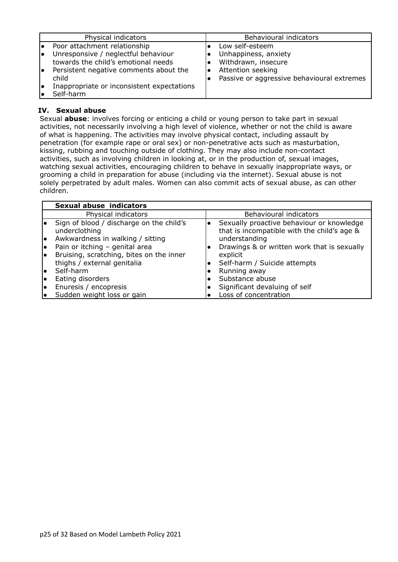| Physical indicators                                                                                                                                                                                                                              | Behavioural indicators                                                                                                            |
|--------------------------------------------------------------------------------------------------------------------------------------------------------------------------------------------------------------------------------------------------|-----------------------------------------------------------------------------------------------------------------------------------|
| Poor attachment relationship<br>Í.<br>Unresponsive / neglectful behaviour<br>١o<br>towards the child's emotional needs<br>Persistent negative comments about the<br>I۰<br>child<br>Inappropriate or inconsistent expectations<br>I۰<br>Self-harm | Low self-esteem<br>Unhappiness, anxiety<br>Withdrawn, insecure<br>Attention seeking<br>Passive or aggressive behavioural extremes |

# **IV. Sexual abuse**

Sexual **abuse**: involves forcing or enticing a child or young person to take part in sexual activities, not necessarily involving a high level of violence, whether or not the child is aware of what is happening. The activities may involve physical contact, including assault by penetration (for example rape or oral sex) or non-penetrative acts such as masturbation, kissing, rubbing and touching outside of clothing. They may also include non-contact activities, such as involving children in looking at, or in the production of, sexual images, watching sexual activities, encouraging children to behave in sexually inappropriate ways, or grooming a child in preparation for abuse (including via the internet). Sexual abuse is not solely perpetrated by adult males. Women can also commit acts of sexual abuse, as can other children.

|    | Sexual abuse indicators                                   |                                                                                          |
|----|-----------------------------------------------------------|------------------------------------------------------------------------------------------|
|    | Physical indicators                                       | Behavioural indicators                                                                   |
|    | Sign of blood / discharge on the child's<br>underclothing | Sexually proactive behaviour or knowledge<br>that is incompatible with the child's age & |
|    | Awkwardness in walking / sitting                          | understanding                                                                            |
|    | Pain or itching - genital area                            | Drawings & or written work that is sexually                                              |
|    | Bruising, scratching, bites on the inner                  | explicit                                                                                 |
|    | thighs / external genitalia                               | Self-harm / Suicide attempts                                                             |
|    | Self-harm                                                 | Running away                                                                             |
| I۰ | Eating disorders                                          | Substance abuse                                                                          |
| I۰ | Enuresis / encopresis                                     | Significant devaluing of self                                                            |
| I۰ | Sudden weight loss or gain                                | Loss of concentration                                                                    |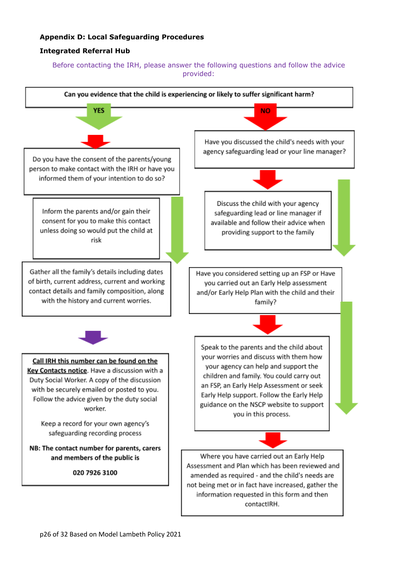# **Appendix D: Local Safeguarding Procedures**

# **Integrated Referral Hub**

# Before contacting the IRH, please answer the following questions and follow the advice provided:

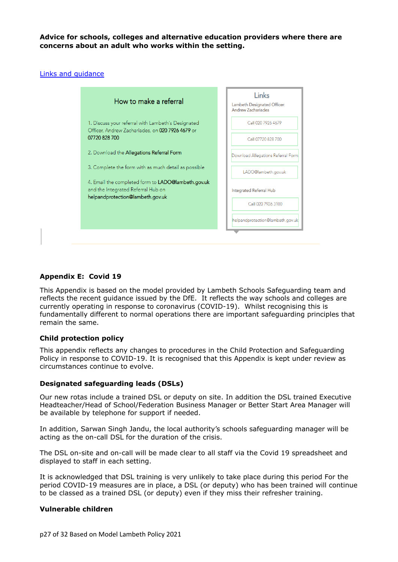**Advice for schools, colleges and alternative education providers where there are concerns about an adult who works within the setting.**

#### Links and [guidance](https://www.lambethsaferchildren.org.uk/lado-referrals)



#### **Appendix E: Covid 19**

This Appendix is based on the model provided by Lambeth Schools Safeguarding team and reflects the recent guidance issued by the DfE. It reflects the way schools and colleges are currently operating in response to coronavirus (COVID-19). Whilst recognising this is fundamentally different to normal operations there are important safeguarding principles that remain the same.

#### **Child protection policy**

This appendix reflects any changes to procedures in the Child Protection and Safeguarding Policy in response to COVID-19. It is recognised that this Appendix is kept under review as circumstances continue to evolve.

#### **Designated safeguarding leads (DSLs)**

Our new rotas include a trained DSL or deputy on site. In addition the DSL trained Executive Headteacher/Head of School/Federation Business Manager or Better Start Area Manager will be available by telephone for support if needed.

In addition, Sarwan Singh Jandu, the local authority's schools safeguarding manager will be acting as the on-call DSL for the duration of the crisis.

The DSL on-site and on-call will be made clear to all staff via the Covid 19 spreadsheet and displayed to staff in each setting.

It is acknowledged that DSL training is very unlikely to take place during this period For the period COVID-19 measures are in place, a DSL (or deputy) who has been trained will continue to be classed as a trained DSL (or deputy) even if they miss their refresher training.

#### **Vulnerable children**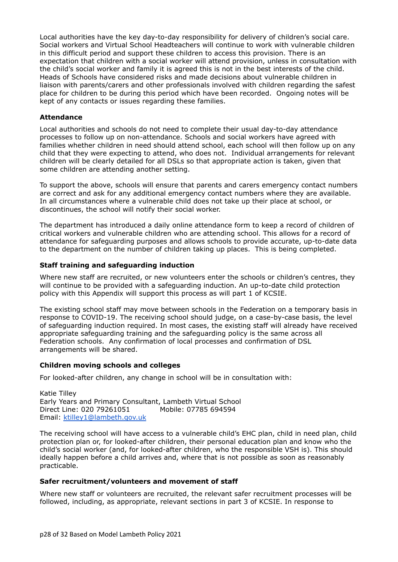Local authorities have the key day-to-day responsibility for delivery of children's social care. Social workers and Virtual School Headteachers will continue to work with vulnerable children in this difficult period and support these children to access this provision. There is an expectation that children with a social worker will attend provision, unless in consultation with the child's social worker and family it is agreed this is not in the best interests of the child. Heads of Schools have considered risks and made decisions about vulnerable children in liaison with parents/carers and other professionals involved with children regarding the safest place for children to be during this period which have been recorded. Ongoing notes will be kept of any contacts or issues regarding these families.

#### **Attendance**

Local authorities and schools do not need to complete their usual day-to-day attendance processes to follow up on non-attendance. Schools and social workers have agreed with families whether children in need should attend school, each school will then follow up on any child that they were expecting to attend, who does not. Individual arrangements for relevant children will be clearly detailed for all DSLs so that appropriate action is taken, given that some children are attending another setting.

To support the above, schools will ensure that parents and carers emergency contact numbers are correct and ask for any additional emergency contact numbers where they are available. In all circumstances where a vulnerable child does not take up their place at school, or discontinues, the school will notify their social worker.

The department has introduced a daily online [attendance](https://www.gov.uk/government/publications/coronavirus-covid-19-attendance-recording-for-educational-settings) form to keep a record of children of critical workers and vulnerable children who are attending school. This allows for a record of attendance for safeguarding purposes and allows schools to provide accurate, up-to-date data to the department on the number of children taking up places. This is being completed.

#### **Staff training and safeguarding induction**

Where new staff are recruited, or new volunteers enter the schools or children's centres, they will continue to be provided with a safeguarding induction. An up-to-date child protection policy with this Appendix will support this process as will part 1 of KCSIE.

The existing school staff may move between schools in the Federation on a temporary basis in response to COVID-19. The receiving school should judge, on a case-by-case basis, the level of safeguarding induction required. In most cases, the existing staff will already have received appropriate safeguarding training and the safeguarding policy is the same across all Federation schools. Any confirmation of local processes and confirmation of DSL arrangements will be shared.

# **Children moving schools and colleges**

For looked-after children, any change in school will be in consultation with:

Katie Tilley Early Years and Primary Consultant, Lambeth Virtual School Direct Line: 020 79261051 Mobile: 07785 694594 Email: [ktilley1@lambeth.gov.uk](mailto:ktilley1@lambeth.gov.uk)

The receiving school will have access to a vulnerable child's EHC plan, child in need plan, child protection plan or, for looked-after children, their personal education plan and know who the child's social worker (and, for looked-after children, who the responsible VSH is). This should ideally happen before a child arrives and, where that is not possible as soon as reasonably practicable.

#### **Safer recruitment/volunteers and movement of staff**

Where new staff or volunteers are recruited, the relevant safer recruitment processes will be followed, including, as appropriate, relevant sections in part 3 of KCSIE. In response to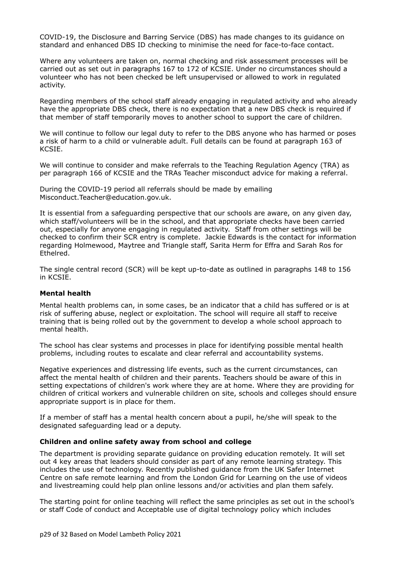COVID-19, the Disclosure and Barring Service (DBS) has made changes to its [guidance](https://www.gov.uk/government/news/covid-19-changes-to-standard-and-enhanced-id-checking-guidelines) on standard and [enhanced](https://www.gov.uk/government/news/covid-19-changes-to-standard-and-enhanced-id-checking-guidelines) DBS ID checking to minimise the need for face-to-face contact.

Where any volunteers are taken on, normal checking and risk assessment processes will be carried out as set out in paragraphs 167 to 172 of KCSIE. Under no circumstances should a volunteer who has not been checked be left unsupervised or allowed to work in regulated activity.

Regarding members of the school staff already engaging in regulated activity and who already have the appropriate DBS check, there is no expectation that a new DBS check is required if that member of staff temporarily moves to another school to support the care of children.

We will continue to follow our legal duty to refer to the DBS anyone who has harmed or poses a risk of harm to a child or vulnerable adult. Full details can be found at paragraph 163 of KCSIE.

We will continue to consider and make referrals to the Teaching Regulation Agency (TRA) as per paragraph 166 of KCSIE and the TRAs Teacher [misconduct](https://www.gov.uk/guidance/teacher-misconduct-referring-a-case) advice for making a referral.

During the COVID-19 period all referrals should be made by emailing [Misconduct.Teacher@education.gov.uk](mailto:Misconduct.Teacher@education.gov.uk).

It is essential from a safeguarding perspective that our schools are aware, on any given day, which staff/volunteers will be in the school, and that appropriate checks have been carried out, especially for anyone engaging in regulated activity. Staff from other settings will be checked to confirm their SCR entry is complete. Jackie Edwards is the contact for information regarding Holmewood, Maytree and Triangle staff, Sarita Herm for Effra and Sarah Ros for Ethelred.

The single central record (SCR) will be kept up-to-date as outlined in paragraphs 148 to 156 in KCSIE.

#### **Mental health**

Mental health problems can, in some cases, be an indicator that a child has suffered or is at risk of suffering abuse, neglect or exploitation. The school will require all staff to receive training that is being rolled out by the government to develop a whole school approach to mental health.

The school has clear systems and processes in place for identifying possible mental health problems, including routes to escalate and clear referral and accountability systems.

Negative experiences and distressing life events, such as the current circumstances, can affect the mental health of children and their parents. Teachers should be aware of this in setting expectations of children's work where they are at home. Where they are providing for children of critical workers and vulnerable children on site, schools and colleges should ensure appropriate support is in place for them.

If a member of staff has a mental health concern about a pupil, he/she will speak to the designated safeguarding lead or a deputy.

#### **Children and online safety away from school and college**

The department is providing separate guidance on providing education remotely. It will set out 4 key areas that leaders should consider as part of any remote learning strategy. This includes the use of technology. Recently published [guidance](https://swgfl.org.uk/resources/safe-remote-learning/) from the UK Safer Internet Centre on safe remote [learning](https://swgfl.org.uk/resources/safe-remote-learning/) and from the London Grid for [Learning](https://static.lgfl.net/LgflNet/downloads/digisafe/Safe-Lessons-by-Video-and-Livestream.pdf) on the use of videos and [livestreaming](https://static.lgfl.net/LgflNet/downloads/digisafe/Safe-Lessons-by-Video-and-Livestream.pdf) could help plan online lessons and/or activities and plan them safely.

The starting point for online teaching will reflect the same principles as set out in the school's or staff Code of conduct and Acceptable use of digital technology policy which includes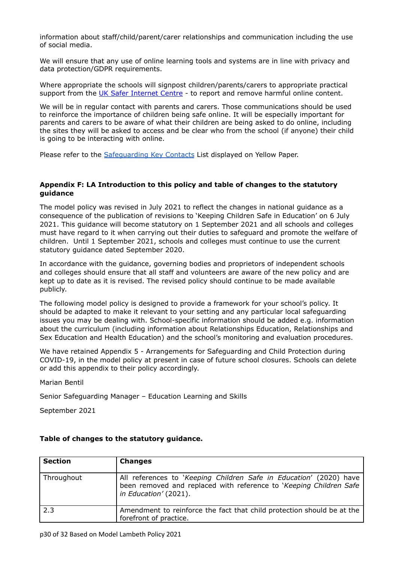information about staff/child/parent/carer relationships and communication including the use of social media.

We will ensure that any use of online learning tools and systems are in line with privacy and data protection/GDPR requirements.

Where appropriate the schools will signpost children/parents/carers to appropriate practical support from the UK Safer [Internet](https://reportharmfulcontent.com/) Centre - to report and remove harmful online content.

We will be in regular contact with parents and carers. Those communications should be used to reinforce the importance of children being safe online. It will be especially important for parents and carers to be aware of what their children are being asked to do online, including the sites they will be asked to access and be clear who from the school (if anyone) their child is going to be interacting with online.

Please refer to the [Safeguarding](https://docs.google.com/document/d/10Uvzb5swxysYPA4KOqs3ihNLO71Prul8U9EBAEwGk1U/edit) Key Contacts List displayed on Yellow Paper.

# **Appendix F: LA Introduction to this policy and table of changes to the statutory guidance**

The model policy was revised in July 2021 to reflect the changes in national guidance as a consequence of the publication of revisions to 'Keeping Children Safe in Education' on 6 July 2021. This guidance will become statutory on 1 September 2021 and all schools and colleges must have regard to it when carrying out their duties to safeguard and promote the welfare of children. Until 1 September 2021, schools and colleges must continue to use the current statutory guidance dated September 2020.

In accordance with the guidance, governing bodies and proprietors of independent schools and colleges should ensure that all staff and volunteers are aware of the new policy and are kept up to date as it is revised. The revised policy should continue to be made available publicly.

The following model policy is designed to provide a framework for your school's policy. It should be adapted to make it relevant to your setting and any particular local safeguarding issues you may be dealing with. School-specific information should be added e.g. information about the curriculum (including information about Relationships Education, Relationships and Sex Education and Health Education) and the school's monitoring and evaluation procedures.

We have retained Appendix 5 - Arrangements for Safeguarding and Child Protection during COVID-19, in the model policy at present in case of future school closures. Schools can delete or add this appendix to their policy accordingly.

Marian Bentil

Senior Safeguarding Manager – Education Learning and Skills

September 2021

| <b>Section</b> | <b>Changes</b>                                                                                                                                                    |
|----------------|-------------------------------------------------------------------------------------------------------------------------------------------------------------------|
| Throughout     | All references to 'Keeping Children Safe in Education' (2020) have<br>been removed and replaced with reference to 'Keeping Children Safe<br>in Education' (2021). |
| 2.3            | Amendment to reinforce the fact that child protection should be at the<br>forefront of practice.                                                                  |

# **Table of changes to the statutory guidance.**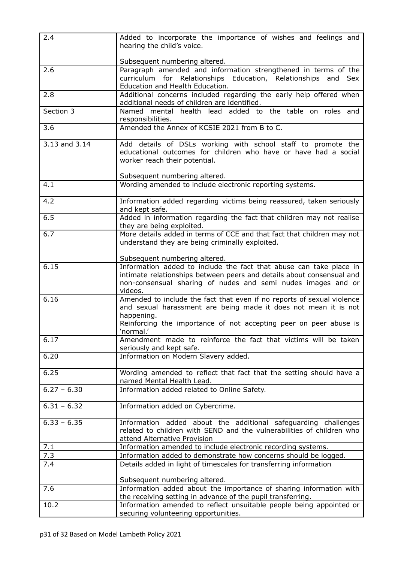| 2.4           | Added to incorporate the importance of wishes and feelings and<br>hearing the child's voice.                                                                            |
|---------------|-------------------------------------------------------------------------------------------------------------------------------------------------------------------------|
|               |                                                                                                                                                                         |
| 2.6           | Subsequent numbering altered.<br>Paragraph amended and information strengthened in terms of the                                                                         |
|               | curriculum for Relationships Education, Relationships and Sex                                                                                                           |
|               | Education and Health Education.                                                                                                                                         |
| 2.8           | Additional concerns included regarding the early help offered when                                                                                                      |
|               | additional needs of children are identified.                                                                                                                            |
| Section 3     | Named mental health lead added to the table on roles and                                                                                                                |
|               | responsibilities.                                                                                                                                                       |
| 3.6           | Amended the Annex of KCSIE 2021 from B to C.                                                                                                                            |
| 3.13 and 3.14 | Add details of DSLs working with school staff to promote the<br>educational outcomes for children who have or have had a social<br>worker reach their potential.        |
|               |                                                                                                                                                                         |
|               | Subsequent numbering altered.                                                                                                                                           |
| 4.1           | Wording amended to include electronic reporting systems.                                                                                                                |
| 4.2           | Information added regarding victims being reassured, taken seriously<br>and kept safe.                                                                                  |
| 6.5           | Added in information regarding the fact that children may not realise<br>they are being exploited.                                                                      |
| 6.7           | More details added in terms of CCE and that fact that children may not                                                                                                  |
|               | understand they are being criminally exploited.                                                                                                                         |
|               | Subsequent numbering altered.                                                                                                                                           |
| 6.15          | Information added to include the fact that abuse can take place in                                                                                                      |
|               | intimate relationships between peers and details about consensual and                                                                                                   |
|               | non-consensual sharing of nudes and semi nudes images and or                                                                                                            |
| 6.16          | videos.<br>Amended to include the fact that even if no reports of sexual violence                                                                                       |
|               | and sexual harassment are being made it does not mean it is not<br>happening.                                                                                           |
|               | Reinforcing the importance of not accepting peer on peer abuse is<br>`normal.'                                                                                          |
| 6.17          | Amendment made to reinforce the fact that victims will be taken<br>seriously and kept safe.                                                                             |
| 6.20          | Information on Modern Slavery added.                                                                                                                                    |
| 6.25          | Wording amended to reflect that fact that the setting should have a<br>named Mental Health Lead.                                                                        |
| $6.27 - 6.30$ | Information added related to Online Safety.                                                                                                                             |
| $6.31 - 6.32$ | Information added on Cybercrime.                                                                                                                                        |
| $6.33 - 6.35$ |                                                                                                                                                                         |
|               | Information added about the additional safeguarding challenges<br>related to children with SEND and the vulnerabilities of children who<br>attend Alternative Provision |
| 7.1           | Information amended to include electronic recording systems.                                                                                                            |
| 7.3           | Information added to demonstrate how concerns should be logged.                                                                                                         |
| 7.4           | Details added in light of timescales for transferring information                                                                                                       |
|               | Subsequent numbering altered.                                                                                                                                           |
| 7.6           | Information added about the importance of sharing information with                                                                                                      |
|               | the receiving setting in advance of the pupil transferring.                                                                                                             |
| 10.2          | Information amended to reflect unsuitable people being appointed or                                                                                                     |
|               | securing volunteering opportunities.                                                                                                                                    |